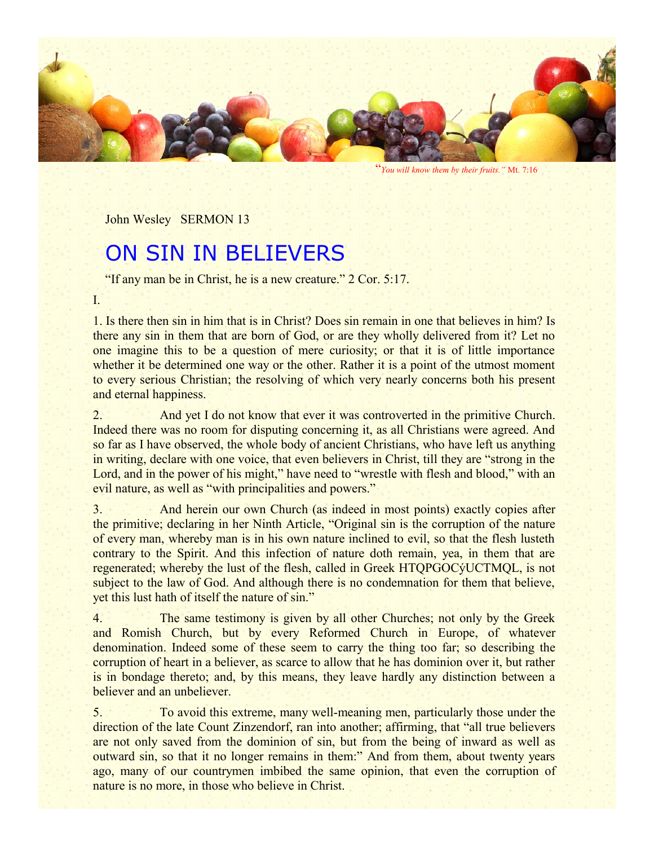

"*You will know them by their fruits."* Mt. 7:16

John Wesley SERMON 13

I.

# ON SIN IN BELIEVERS

"If any man be in Christ, he is a new creature." 2 Cor. 5:17.

1. Is there then sin in him that is in Christ? Does sin remain in one that believes in him? Is there any sin in them that are born of God, or are they wholly delivered from it? Let no one imagine this to be a question of mere curiosity; or that it is of little importance whether it be determined one way or the other. Rather it is a point of the utmost moment to every serious Christian; the resolving of which very nearly concerns both his present and eternal happiness.

2. And yet I do not know that ever it was controverted in the primitive Church. Indeed there was no room for disputing concerning it, as all Christians were agreed. And so far as I have observed, the whole body of ancient Christians, who have left us anything in writing, declare with one voice, that even believers in Christ, till they are "strong in the Lord, and in the power of his might," have need to "wrestle with flesh and blood," with an evil nature, as well as "with principalities and powers."

3. And herein our own Church (as indeed in most points) exactly copies after the primitive; declaring in her Ninth Article, "Original sin is the corruption of the nature of every man, whereby man is in his own nature inclined to evil, so that the flesh lusteth contrary to the Spirit. And this infection of nature doth remain, yea, in them that are regenerated; whereby the lust of the flesh, called in Greek HTQPGOCýUCTMQL, is not subject to the law of God. And although there is no condemnation for them that believe, yet this lust hath of itself the nature of sin."

4. The same testimony is given by all other Churches; not only by the Greek and Romish Church, but by every Reformed Church in Europe, of whatever denomination. Indeed some of these seem to carry the thing too far; so describing the corruption of heart in a believer, as scarce to allow that he has dominion over it, but rather is in bondage thereto; and, by this means, they leave hardly any distinction between a believer and an unbeliever.

5. To avoid this extreme, many well-meaning men, particularly those under the direction of the late Count Zinzendorf, ran into another; affirming, that "all true believers are not only saved from the dominion of sin, but from the being of inward as well as outward sin, so that it no longer remains in them:" And from them, about twenty years ago, many of our countrymen imbibed the same opinion, that even the corruption of nature is no more, in those who believe in Christ.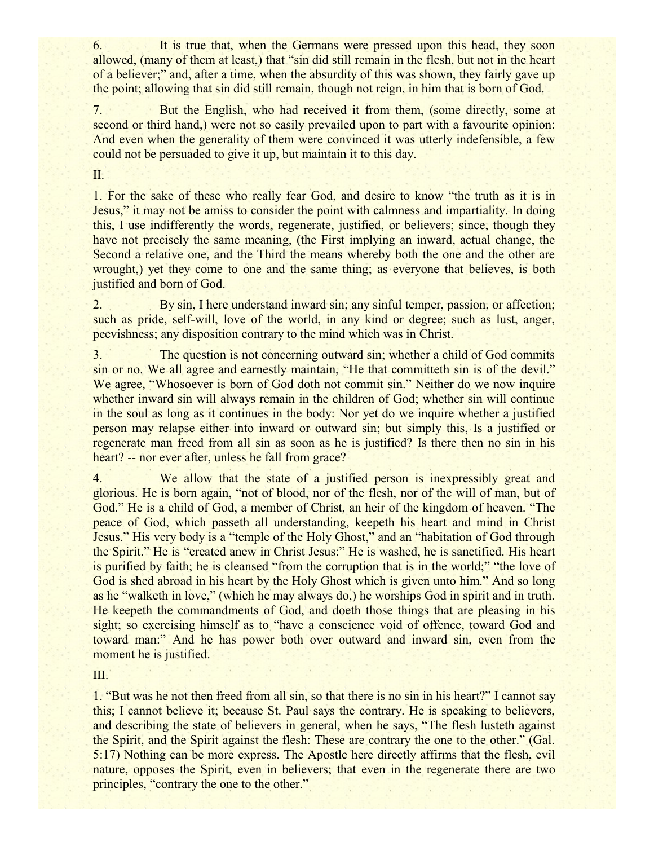6. It is true that, when the Germans were pressed upon this head, they soon allowed, (many of them at least,) that "sin did still remain in the flesh, but not in the heart of a believer;" and, after a time, when the absurdity of this was shown, they fairly gave up the point; allowing that sin did still remain, though not reign, in him that is born of God.

7. But the English, who had received it from them, (some directly, some at second or third hand,) were not so easily prevailed upon to part with a favourite opinion: And even when the generality of them were convinced it was utterly indefensible, a few could not be persuaded to give it up, but maintain it to this day.

II.

1. For the sake of these who really fear God, and desire to know "the truth as it is in Jesus," it may not be amiss to consider the point with calmness and impartiality. In doing this, I use indifferently the words, regenerate, justified, or believers; since, though they have not precisely the same meaning, (the First implying an inward, actual change, the Second a relative one, and the Third the means whereby both the one and the other are wrought,) yet they come to one and the same thing; as everyone that believes, is both justified and born of God.

2. By sin, I here understand inward sin; any sinful temper, passion, or affection; such as pride, self-will, love of the world, in any kind or degree; such as lust, anger, peevishness; any disposition contrary to the mind which was in Christ.

3. The question is not concerning outward sin; whether a child of God commits sin or no. We all agree and earnestly maintain, "He that committeth sin is of the devil." We agree, "Whosoever is born of God doth not commit sin." Neither do we now inquire whether inward sin will always remain in the children of God; whether sin will continue in the soul as long as it continues in the body: Nor yet do we inquire whether a justified person may relapse either into inward or outward sin; but simply this, Is a justified or regenerate man freed from all sin as soon as he is justified? Is there then no sin in his heart? -- nor ever after, unless he fall from grace?

4. We allow that the state of a justified person is inexpressibly great and glorious. He is born again, "not of blood, nor of the flesh, nor of the will of man, but of God." He is a child of God, a member of Christ, an heir of the kingdom of heaven. "The peace of God, which passeth all understanding, keepeth his heart and mind in Christ Jesus." His very body is a "temple of the Holy Ghost," and an "habitation of God through the Spirit." He is "created anew in Christ Jesus:" He is washed, he is sanctified. His heart is purified by faith; he is cleansed "from the corruption that is in the world;" "the love of God is shed abroad in his heart by the Holy Ghost which is given unto him." And so long as he "walketh in love," (which he may always do,) he worships God in spirit and in truth. He keepeth the commandments of God, and doeth those things that are pleasing in his sight; so exercising himself as to "have a conscience void of offence, toward God and toward man:" And he has power both over outward and inward sin, even from the moment he is justified.

III.

1. "But was he not then freed from all sin, so that there is no sin in his heart?" I cannot say this; I cannot believe it; because St. Paul says the contrary. He is speaking to believers, and describing the state of believers in general, when he says, "The flesh lusteth against the Spirit, and the Spirit against the flesh: These are contrary the one to the other." (Gal. 5:17) Nothing can be more express. The Apostle here directly affirms that the flesh, evil nature, opposes the Spirit, even in believers; that even in the regenerate there are two principles, "contrary the one to the other."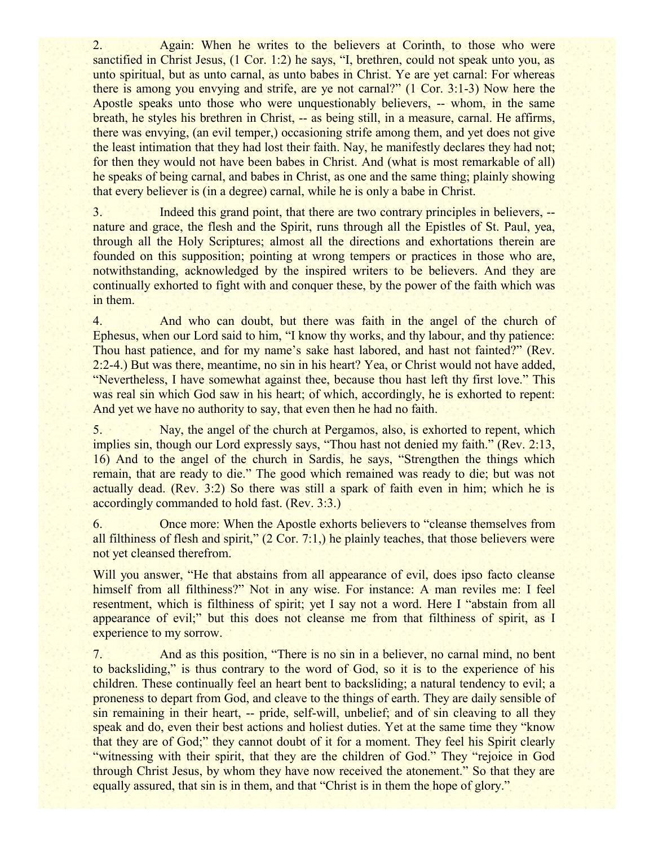2. Again: When he writes to the believers at Corinth, to those who were sanctified in Christ Jesus, (1 Cor. 1:2) he says, "I, brethren, could not speak unto you, as unto spiritual, but as unto carnal, as unto babes in Christ. Ye are yet carnal: For whereas there is among you envying and strife, are ye not carnal?" (1 Cor. 3:1-3) Now here the Apostle speaks unto those who were unquestionably believers, -- whom, in the same breath, he styles his brethren in Christ, -- as being still, in a measure, carnal. He affirms, there was envying, (an evil temper,) occasioning strife among them, and yet does not give the least intimation that they had lost their faith. Nay, he manifestly declares they had not; for then they would not have been babes in Christ. And (what is most remarkable of all) he speaks of being carnal, and babes in Christ, as one and the same thing; plainly showing that every believer is (in a degree) carnal, while he is only a babe in Christ.

3. Indeed this grand point, that there are two contrary principles in believers, - nature and grace, the flesh and the Spirit, runs through all the Epistles of St. Paul, yea, through all the Holy Scriptures; almost all the directions and exhortations therein are founded on this supposition; pointing at wrong tempers or practices in those who are, notwithstanding, acknowledged by the inspired writers to be believers. And they are continually exhorted to fight with and conquer these, by the power of the faith which was in them.

4. And who can doubt, but there was faith in the angel of the church of Ephesus, when our Lord said to him, "I know thy works, and thy labour, and thy patience: Thou hast patience, and for my name's sake hast labored, and hast not fainted?" (Rev. 2:2-4.) But was there, meantime, no sin in his heart? Yea, or Christ would not have added, "Nevertheless, I have somewhat against thee, because thou hast left thy first love." This was real sin which God saw in his heart; of which, accordingly, he is exhorted to repent: And yet we have no authority to say, that even then he had no faith.

5. Nay, the angel of the church at Pergamos, also, is exhorted to repent, which implies sin, though our Lord expressly says, "Thou hast not denied my faith." (Rev. 2:13, 16) And to the angel of the church in Sardis, he says, "Strengthen the things which remain, that are ready to die." The good which remained was ready to die; but was not actually dead. (Rev. 3:2) So there was still a spark of faith even in him; which he is accordingly commanded to hold fast. (Rev. 3:3.)

6. Once more: When the Apostle exhorts believers to "cleanse themselves from all filthiness of flesh and spirit,"  $(2 \text{ Cor. } 7:1)$ , he plainly teaches, that those believers were not yet cleansed therefrom.

Will you answer, "He that abstains from all appearance of evil, does ipso facto cleanse himself from all filthiness?" Not in any wise. For instance: A man reviles me: I feel resentment, which is filthiness of spirit; yet I say not a word. Here I "abstain from all appearance of evil;" but this does not cleanse me from that filthiness of spirit, as I experience to my sorrow.

7. And as this position, "There is no sin in a believer, no carnal mind, no bent to backsliding," is thus contrary to the word of God, so it is to the experience of his children. These continually feel an heart bent to backsliding; a natural tendency to evil; a proneness to depart from God, and cleave to the things of earth. They are daily sensible of sin remaining in their heart, -- pride, self-will, unbelief; and of sin cleaving to all they speak and do, even their best actions and holiest duties. Yet at the same time they "know that they are of God;" they cannot doubt of it for a moment. They feel his Spirit clearly "witnessing with their spirit, that they are the children of God." They "rejoice in God through Christ Jesus, by whom they have now received the atonement." So that they are equally assured, that sin is in them, and that "Christ is in them the hope of glory."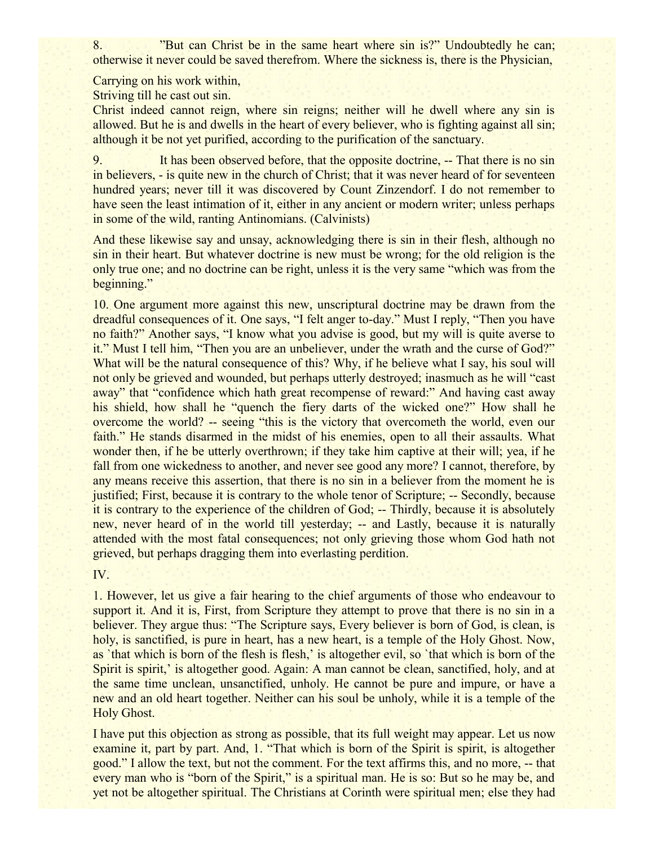8. "But can Christ be in the same heart where sin is?" Undoubtedly he can; otherwise it never could be saved therefrom. Where the sickness is, there is the Physician,

Carrying on his work within,

Striving till he cast out sin.

Christ indeed cannot reign, where sin reigns; neither will he dwell where any sin is allowed. But he is and dwells in the heart of every believer, who is fighting against all sin; although it be not yet purified, according to the purification of the sanctuary.

9. It has been observed before, that the opposite doctrine, -- That there is no sin in believers, - is quite new in the church of Christ; that it was never heard of for seventeen hundred years; never till it was discovered by Count Zinzendorf. I do not remember to have seen the least intimation of it, either in any ancient or modern writer; unless perhaps in some of the wild, ranting Antinomians. (Calvinists)

And these likewise say and unsay, acknowledging there is sin in their flesh, although no sin in their heart. But whatever doctrine is new must be wrong; for the old religion is the only true one; and no doctrine can be right, unless it is the very same "which was from the beginning."

10. One argument more against this new, unscriptural doctrine may be drawn from the dreadful consequences of it. One says, "I felt anger to-day." Must I reply, "Then you have no faith?" Another says, "I know what you advise is good, but my will is quite averse to it." Must I tell him, "Then you are an unbeliever, under the wrath and the curse of God?" What will be the natural consequence of this? Why, if he believe what I say, his soul will not only be grieved and wounded, but perhaps utterly destroyed; inasmuch as he will "cast away" that "confidence which hath great recompense of reward:" And having cast away his shield, how shall he "quench the fiery darts of the wicked one?" How shall he overcome the world? -- seeing "this is the victory that overcometh the world, even our faith." He stands disarmed in the midst of his enemies, open to all their assaults. What wonder then, if he be utterly overthrown; if they take him captive at their will; yea, if he fall from one wickedness to another, and never see good any more? I cannot, therefore, by any means receive this assertion, that there is no sin in a believer from the moment he is justified; First, because it is contrary to the whole tenor of Scripture; -- Secondly, because it is contrary to the experience of the children of God; -- Thirdly, because it is absolutely new, never heard of in the world till yesterday; -- and Lastly, because it is naturally attended with the most fatal consequences; not only grieving those whom God hath not grieved, but perhaps dragging them into everlasting perdition.

#### IV.

1. However, let us give a fair hearing to the chief arguments of those who endeavour to support it. And it is, First, from Scripture they attempt to prove that there is no sin in a believer. They argue thus: "The Scripture says, Every believer is born of God, is clean, is holy, is sanctified, is pure in heart, has a new heart, is a temple of the Holy Ghost. Now, as 'that which is born of the flesh is flesh,' is altogether evil, so 'that which is born of the Spirit is spirit,' is altogether good. Again: A man cannot be clean, sanctified, holy, and at the same time unclean, unsanctified, unholy. He cannot be pure and impure, or have a new and an old heart together. Neither can his soul be unholy, while it is a temple of the Holy Ghost.

I have put this objection as strong as possible, that its full weight may appear. Let us now examine it, part by part. And, 1. "That which is born of the Spirit is spirit, is altogether good." I allow the text, but not the comment. For the text affirms this, and no more, -- that every man who is "born of the Spirit," is a spiritual man. He is so: But so he may be, and yet not be altogether spiritual. The Christians at Corinth were spiritual men; else they had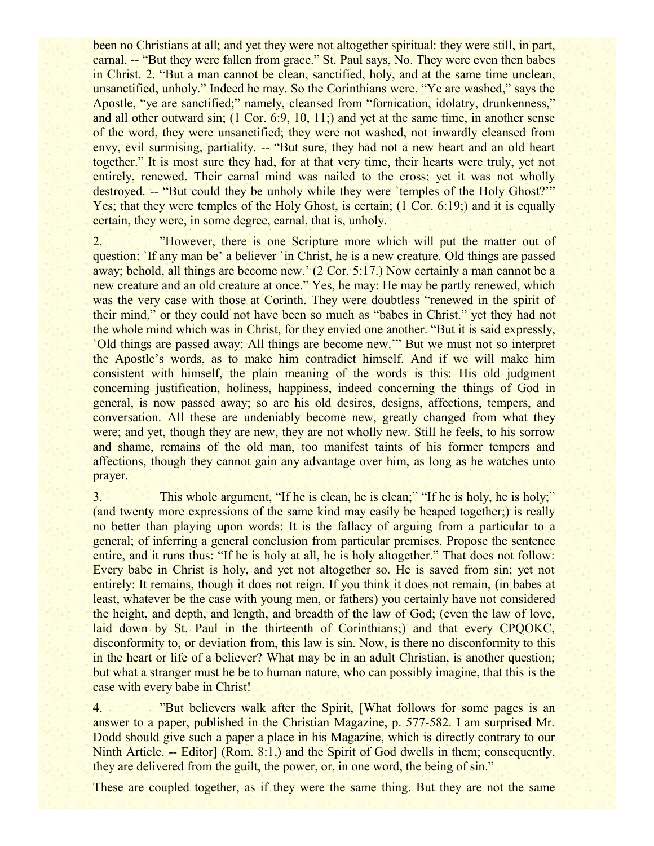been no Christians at all; and yet they were not altogether spiritual: they were still, in part, carnal. -- "But they were fallen from grace." St. Paul says, No. They were even then babes in Christ. 2. "But a man cannot be clean, sanctified, holy, and at the same time unclean, unsanctified, unholy." Indeed he may. So the Corinthians were. "Ye are washed," says the Apostle, "ye are sanctified;" namely, cleansed from "fornication, idolatry, drunkenness," and all other outward sin; (1 Cor. 6:9, 10, 11;) and yet at the same time, in another sense of the word, they were unsanctified; they were not washed, not inwardly cleansed from envy, evil surmising, partiality. -- "But sure, they had not a new heart and an old heart together." It is most sure they had, for at that very time, their hearts were truly, yet not entirely, renewed. Their carnal mind was nailed to the cross; yet it was not wholly destroyed. -- "But could they be unholy while they were 'temples of the Holy Ghost?'" Yes; that they were temples of the Holy Ghost, is certain; (1 Cor. 6:19;) and it is equally certain, they were, in some degree, carnal, that is, unholy.

2. "However, there is one Scripture more which will put the matter out of question: `If any man be' a believer `in Christ, he is a new creature. Old things are passed away; behold, all things are become new.' (2 Cor. 5:17.) Now certainly a man cannot be a new creature and an old creature at once." Yes, he may: He may be partly renewed, which was the very case with those at Corinth. They were doubtless "renewed in the spirit of their mind," or they could not have been so much as "babes in Christ." yet they had not the whole mind which was in Christ, for they envied one another. "But it is said expressly, `Old things are passed away: All things are become new.'" But we must not so interpret the Apostle's words, as to make him contradict himself. And if we will make him consistent with himself, the plain meaning of the words is this: His old judgment concerning justification, holiness, happiness, indeed concerning the things of God in general, is now passed away; so are his old desires, designs, affections, tempers, and conversation. All these are undeniably become new, greatly changed from what they were; and yet, though they are new, they are not wholly new. Still he feels, to his sorrow and shame, remains of the old man, too manifest taints of his former tempers and affections, though they cannot gain any advantage over him, as long as he watches unto prayer.

3. This whole argument, "If he is clean, he is clean;" "If he is holy, he is holy;" (and twenty more expressions of the same kind may easily be heaped together;) is really no better than playing upon words: It is the fallacy of arguing from a particular to a general; of inferring a general conclusion from particular premises. Propose the sentence entire, and it runs thus: "If he is holy at all, he is holy altogether." That does not follow: Every babe in Christ is holy, and yet not altogether so. He is saved from sin; yet not entirely: It remains, though it does not reign. If you think it does not remain, (in babes at least, whatever be the case with young men, or fathers) you certainly have not considered the height, and depth, and length, and breadth of the law of God; (even the law of love, laid down by St. Paul in the thirteenth of Corinthians;) and that every CPQOKC, disconformity to, or deviation from, this law is sin. Now, is there no disconformity to this in the heart or life of a believer? What may be in an adult Christian, is another question; but what a stranger must he be to human nature, who can possibly imagine, that this is the case with every babe in Christ!

4. "But believers walk after the Spirit, [What follows for some pages is an answer to a paper, published in the Christian Magazine, p. 577-582. I am surprised Mr. Dodd should give such a paper a place in his Magazine, which is directly contrary to our Ninth Article. -- Editor] (Rom. 8:1,) and the Spirit of God dwells in them; consequently, they are delivered from the guilt, the power, or, in one word, the being of sin."

These are coupled together, as if they were the same thing. But they are not the same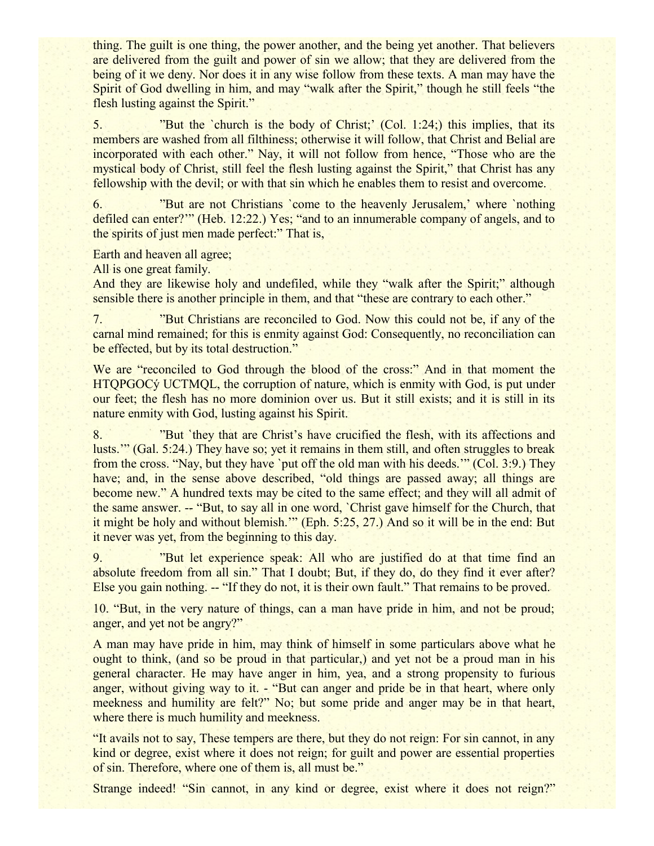thing. The guilt is one thing, the power another, and the being yet another. That believers are delivered from the guilt and power of sin we allow; that they are delivered from the being of it we deny. Nor does it in any wise follow from these texts. A man may have the Spirit of God dwelling in him, and may "walk after the Spirit," though he still feels "the flesh lusting against the Spirit."

5. "But the `church is the body of Christ;' (Col. 1:24;) this implies, that its members are washed from all filthiness; otherwise it will follow, that Christ and Belial are incorporated with each other." Nay, it will not follow from hence, "Those who are the mystical body of Christ, still feel the flesh lusting against the Spirit," that Christ has any fellowship with the devil; or with that sin which he enables them to resist and overcome.

6. "But are not Christians `come to the heavenly Jerusalem,' where `nothing defiled can enter?'" (Heb. 12:22.) Yes; "and to an innumerable company of angels, and to the spirits of just men made perfect:" That is,

Earth and heaven all agree;

All is one great family.

And they are likewise holy and undefiled, while they "walk after the Spirit;" although sensible there is another principle in them, and that "these are contrary to each other."

7. "But Christians are reconciled to God. Now this could not be, if any of the carnal mind remained; for this is enmity against God: Consequently, no reconciliation can be effected, but by its total destruction."

We are "reconciled to God through the blood of the cross:" And in that moment the HTQPGOCý UCTMQL, the corruption of nature, which is enmity with God, is put under our feet; the flesh has no more dominion over us. But it still exists; and it is still in its nature enmity with God, lusting against his Spirit.

8. "But `they that are Christ's have crucified the flesh, with its affections and lusts.'" (Gal. 5:24.) They have so; yet it remains in them still, and often struggles to break from the cross. "Nay, but they have `put off the old man with his deeds.'" (Col. 3:9.) They have; and, in the sense above described, "old things are passed away; all things are become new." A hundred texts may be cited to the same effect; and they will all admit of the same answer. -- "But, to say all in one word, `Christ gave himself for the Church, that it might be holy and without blemish.'" (Eph. 5:25, 27.) And so it will be in the end: But it never was yet, from the beginning to this day.

9. "But let experience speak: All who are justified do at that time find an absolute freedom from all sin." That I doubt; But, if they do, do they find it ever after? Else you gain nothing. -- "If they do not, it is their own fault." That remains to be proved.

10. "But, in the very nature of things, can a man have pride in him, and not be proud; anger, and yet not be angry?"

A man may have pride in him, may think of himself in some particulars above what he ought to think, (and so be proud in that particular,) and yet not be a proud man in his general character. He may have anger in him, yea, and a strong propensity to furious anger, without giving way to it. - "But can anger and pride be in that heart, where only meekness and humility are felt?" No; but some pride and anger may be in that heart, where there is much humility and meekness.

"It avails not to say, These tempers are there, but they do not reign: For sin cannot, in any kind or degree, exist where it does not reign; for guilt and power are essential properties of sin. Therefore, where one of them is, all must be."

Strange indeed! "Sin cannot, in any kind or degree, exist where it does not reign?"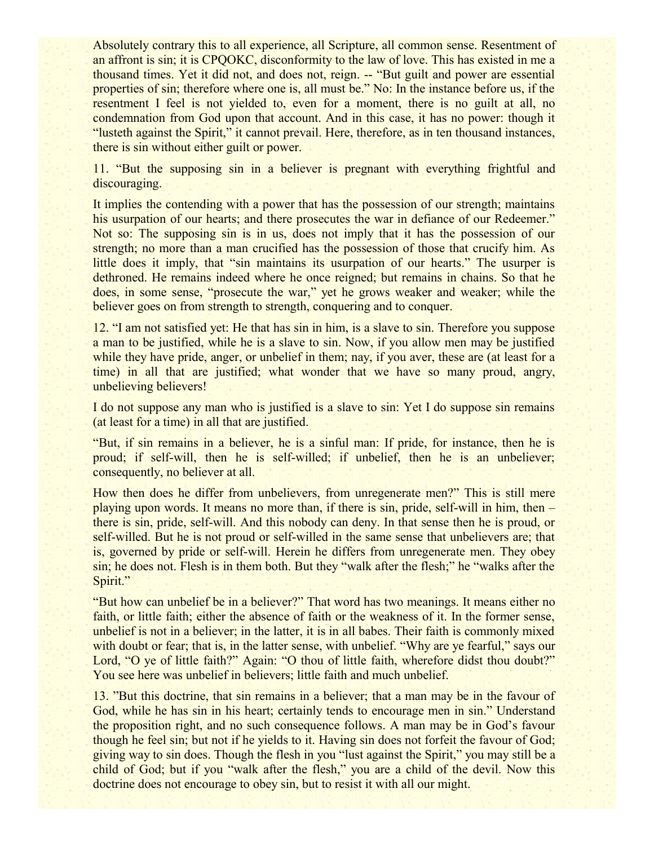Absolutely contrary this to all experience, all Scripture, all common sense. Resentment of an affront is sin; it is CPQOKC, disconformity to the law of love. This has existed in me a thousand times. Yet it did not, and does not, reign. -- "But guilt and power are essential properties of sin; therefore where one is, all must be." No: In the instance before us, if the resentment I feel is not yielded to, even for a moment, there is no guilt at all, no condemnation from God upon that account. And in this case, it has no power: though it "lusteth against the Spirit," it cannot prevail. Here, therefore, as in ten thousand instances, there is sin without either guilt or power.

11. "But the supposing sin in a believer is pregnant with everything frightful and discouraging.

It implies the contending with a power that has the possession of our strength; maintains his usurpation of our hearts; and there prosecutes the war in defiance of our Redeemer." Not so: The supposing sin is in us, does not imply that it has the possession of our strength; no more than a man crucified has the possession of those that crucify him. As little does it imply, that "sin maintains its usurpation of our hearts." The usurper is dethroned. He remains indeed where he once reigned; but remains in chains. So that he does, in some sense, "prosecute the war," yet he grows weaker and weaker; while the believer goes on from strength to strength, conquering and to conquer.

12. "I am not satisfied yet: He that has sin in him, is a slave to sin. Therefore you suppose a man to be justified, while he is a slave to sin. Now, if you allow men may be justified while they have pride, anger, or unbelief in them; nay, if you aver, these are (at least for a time) in all that are justified; what wonder that we have so many proud, angry, unbelieving believers!

I do not suppose any man who is justified is a slave to sin: Yet I do suppose sin remains (at least for a time) in all that are justified.

"But, if sin remains in a believer, he is a sinful man: If pride, for instance, then he is proud; if self-will, then he is self-willed; if unbelief, then he is an unbeliever; consequently, no believer at all.

How then does he differ from unbelievers, from unregenerate men?" This is still mere playing upon words. It means no more than, if there is sin, pride, self-will in him, then – there is sin, pride, self-will. And this nobody can deny. In that sense then he is proud, or self-willed. But he is not proud or self-willed in the same sense that unbelievers are; that is, governed by pride or self-will. Herein he differs from unregenerate men. They obey sin; he does not. Flesh is in them both. But they "walk after the flesh;" he "walks after the Spirit."

"But how can unbelief be in a believer?" That word has two meanings. It means either no faith, or little faith; either the absence of faith or the weakness of it. In the former sense, unbelief is not in a believer; in the latter, it is in all babes. Their faith is commonly mixed with doubt or fear; that is, in the latter sense, with unbelief. "Why are ye fearful," says our Lord, "O ye of little faith?" Again: "O thou of little faith, wherefore didst thou doubt?" You see here was unbelief in believers; little faith and much unbelief.

13. "But this doctrine, that sin remains in a believer; that a man may be in the favour of God, while he has sin in his heart; certainly tends to encourage men in sin." Understand the proposition right, and no such consequence follows. A man may be in God's favour though he feel sin; but not if he yields to it. Having sin does not forfeit the favour of God; giving way to sin does. Though the flesh in you "lust against the Spirit," you may still be a child of God; but if you "walk after the flesh," you are a child of the devil. Now this doctrine does not encourage to obey sin, but to resist it with all our might.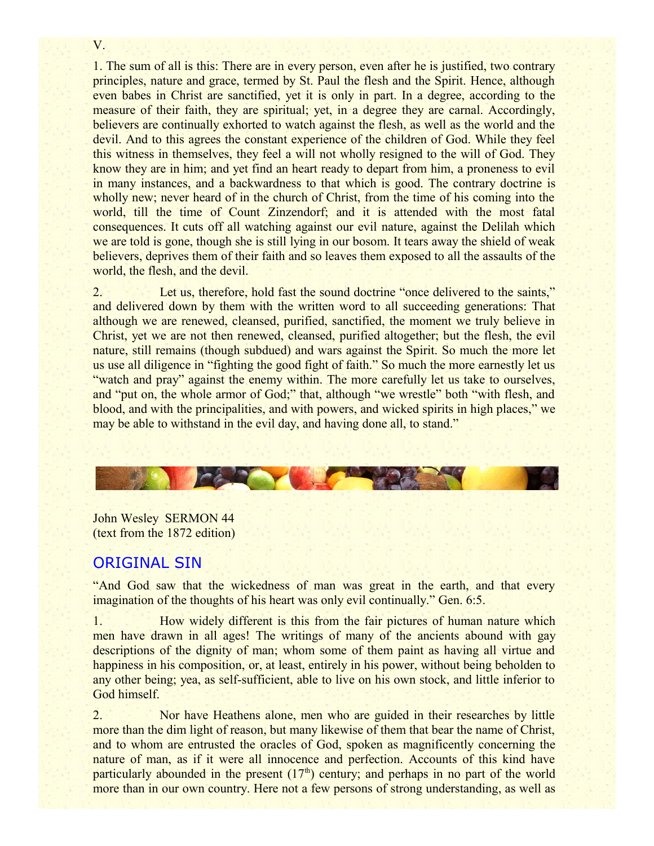1. The sum of all is this: There are in every person, even after he is justified, two contrary principles, nature and grace, termed by St. Paul the flesh and the Spirit. Hence, although even babes in Christ are sanctified, yet it is only in part. In a degree, according to the measure of their faith, they are spiritual; yet, in a degree they are carnal. Accordingly, believers are continually exhorted to watch against the flesh, as well as the world and the devil. And to this agrees the constant experience of the children of God. While they feel this witness in themselves, they feel a will not wholly resigned to the will of God. They know they are in him; and yet find an heart ready to depart from him, a proneness to evil in many instances, and a backwardness to that which is good. The contrary doctrine is wholly new; never heard of in the church of Christ, from the time of his coming into the world, till the time of Count Zinzendorf; and it is attended with the most fatal consequences. It cuts off all watching against our evil nature, against the Delilah which we are told is gone, though she is still lying in our bosom. It tears away the shield of weak believers, deprives them of their faith and so leaves them exposed to all the assaults of the world, the flesh, and the devil.

2. Let us, therefore, hold fast the sound doctrine "once delivered to the saints," and delivered down by them with the written word to all succeeding generations: That although we are renewed, cleansed, purified, sanctified, the moment we truly believe in Christ, yet we are not then renewed, cleansed, purified altogether; but the flesh, the evil nature, still remains (though subdued) and wars against the Spirit. So much the more let us use all diligence in "fighting the good fight of faith." So much the more earnestly let us "watch and pray" against the enemy within. The more carefully let us take to ourselves, and "put on, the whole armor of God;" that, although "we wrestle" both "with flesh, and blood, and with the principalities, and with powers, and wicked spirits in high places," we may be able to withstand in the evil day, and having done all, to stand."

John Wesley SERMON 44 (text from the 1872 edition)

#### ORIGINAL SIN

"And God saw that the wickedness of man was great in the earth, and that every imagination of the thoughts of his heart was only evil continually." Gen. 6:5.

1. How widely different is this from the fair pictures of human nature which men have drawn in all ages! The writings of many of the ancients abound with gay descriptions of the dignity of man; whom some of them paint as having all virtue and happiness in his composition, or, at least, entirely in his power, without being beholden to any other being; yea, as self-sufficient, able to live on his own stock, and little inferior to God himself.

2. Nor have Heathens alone, men who are guided in their researches by little more than the dim light of reason, but many likewise of them that bear the name of Christ, and to whom are entrusted the oracles of God, spoken as magnificently concerning the nature of man, as if it were all innocence and perfection. Accounts of this kind have particularly abounded in the present  $(17<sup>th</sup>)$  century; and perhaps in no part of the world more than in our own country. Here not a few persons of strong understanding, as well as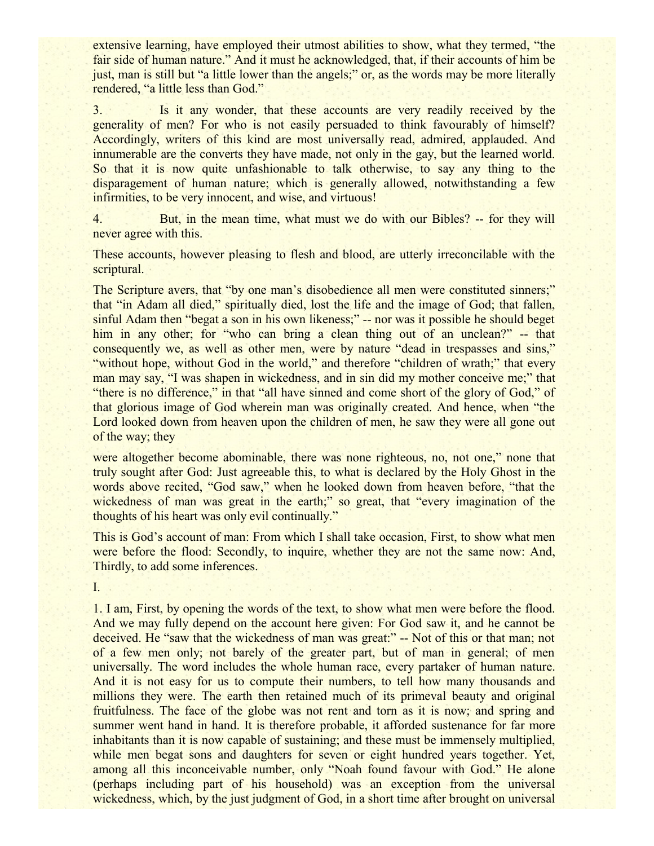extensive learning, have employed their utmost abilities to show, what they termed, "the fair side of human nature." And it must he acknowledged, that, if their accounts of him be just, man is still but "a little lower than the angels;" or, as the words may be more literally rendered, "a little less than God."

3. Is it any wonder, that these accounts are very readily received by the generality of men? For who is not easily persuaded to think favourably of himself? Accordingly, writers of this kind are most universally read, admired, applauded. And innumerable are the converts they have made, not only in the gay, but the learned world. So that it is now quite unfashionable to talk otherwise, to say any thing to the disparagement of human nature; which is generally allowed, notwithstanding a few infirmities, to be very innocent, and wise, and virtuous!

4. But, in the mean time, what must we do with our Bibles? -- for they will never agree with this.

These accounts, however pleasing to flesh and blood, are utterly irreconcilable with the scriptural.

The Scripture avers, that "by one man's disobedience all men were constituted sinners;" that "in Adam all died," spiritually died, lost the life and the image of God; that fallen, sinful Adam then "begat a son in his own likeness;" -- nor was it possible he should beget him in any other; for "who can bring a clean thing out of an unclean?" -- that consequently we, as well as other men, were by nature "dead in trespasses and sins," "without hope, without God in the world," and therefore "children of wrath;" that every man may say, "I was shapen in wickedness, and in sin did my mother conceive me;" that "there is no difference," in that "all have sinned and come short of the glory of God," of that glorious image of God wherein man was originally created. And hence, when "the Lord looked down from heaven upon the children of men, he saw they were all gone out of the way; they

were altogether become abominable, there was none righteous, no, not one," none that truly sought after God: Just agreeable this, to what is declared by the Holy Ghost in the words above recited, "God saw," when he looked down from heaven before, "that the wickedness of man was great in the earth;" so great, that "every imagination of the thoughts of his heart was only evil continually."

This is God's account of man: From which I shall take occasion, First, to show what men were before the flood: Secondly, to inquire, whether they are not the same now: And, Thirdly, to add some inferences.

I.

1. I am, First, by opening the words of the text, to show what men were before the flood. And we may fully depend on the account here given: For God saw it, and he cannot be deceived. He "saw that the wickedness of man was great:" -- Not of this or that man; not of a few men only; not barely of the greater part, but of man in general; of men universally. The word includes the whole human race, every partaker of human nature. And it is not easy for us to compute their numbers, to tell how many thousands and millions they were. The earth then retained much of its primeval beauty and original fruitfulness. The face of the globe was not rent and torn as it is now; and spring and summer went hand in hand. It is therefore probable, it afforded sustenance for far more inhabitants than it is now capable of sustaining; and these must be immensely multiplied, while men begat sons and daughters for seven or eight hundred years together. Yet, among all this inconceivable number, only "Noah found favour with God." He alone (perhaps including part of his household) was an exception from the universal wickedness, which, by the just judgment of God, in a short time after brought on universal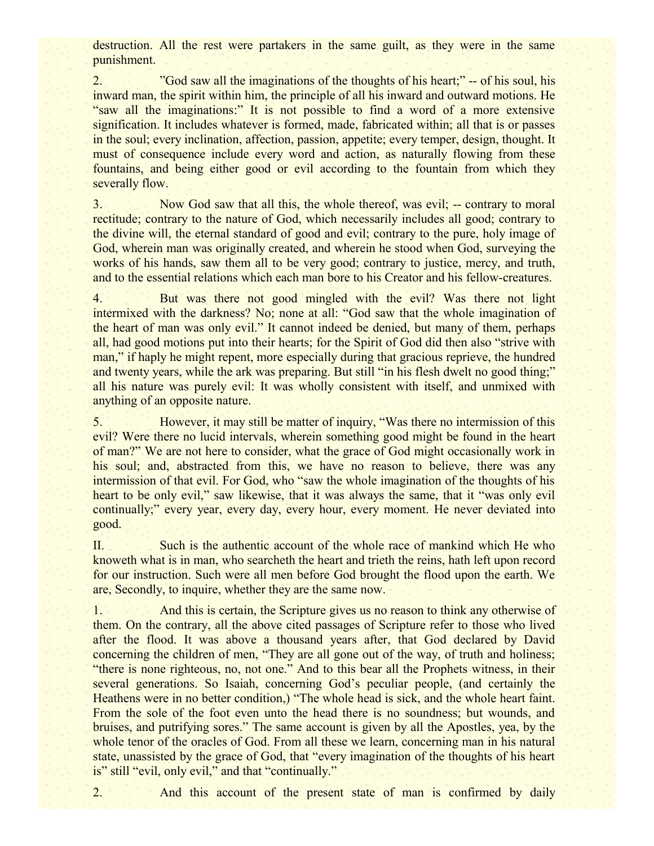destruction. All the rest were partakers in the same guilt, as they were in the same punishment.

2. "God saw all the imaginations of the thoughts of his heart;" -- of his soul, his inward man, the spirit within him, the principle of all his inward and outward motions. He "saw all the imaginations:" It is not possible to find a word of a more extensive signification. It includes whatever is formed, made, fabricated within; all that is or passes in the soul; every inclination, affection, passion, appetite; every temper, design, thought. It must of consequence include every word and action, as naturally flowing from these fountains, and being either good or evil according to the fountain from which they severally flow.

3. Now God saw that all this, the whole thereof, was evil; -- contrary to moral rectitude; contrary to the nature of God, which necessarily includes all good; contrary to the divine will, the eternal standard of good and evil; contrary to the pure, holy image of God, wherein man was originally created, and wherein he stood when God, surveying the works of his hands, saw them all to be very good; contrary to justice, mercy, and truth, and to the essential relations which each man bore to his Creator and his fellow-creatures.

4. But was there not good mingled with the evil? Was there not light intermixed with the darkness? No; none at all: "God saw that the whole imagination of the heart of man was only evil." It cannot indeed be denied, but many of them, perhaps all, had good motions put into their hearts; for the Spirit of God did then also "strive with man," if haply he might repent, more especially during that gracious reprieve, the hundred and twenty years, while the ark was preparing. But still "in his flesh dwelt no good thing;" all his nature was purely evil: It was wholly consistent with itself, and unmixed with anything of an opposite nature.

5. However, it may still be matter of inquiry, "Was there no intermission of this evil? Were there no lucid intervals, wherein something good might be found in the heart of man?" We are not here to consider, what the grace of God might occasionally work in his soul; and, abstracted from this, we have no reason to believe, there was any intermission of that evil. For God, who "saw the whole imagination of the thoughts of his heart to be only evil," saw likewise, that it was always the same, that it "was only evil continually;" every year, every day, every hour, every moment. He never deviated into good.

II. Such is the authentic account of the whole race of mankind which He who knoweth what is in man, who searcheth the heart and trieth the reins, hath left upon record for our instruction. Such were all men before God brought the flood upon the earth. We are, Secondly, to inquire, whether they are the same now.

1. And this is certain, the Scripture gives us no reason to think any otherwise of them. On the contrary, all the above cited passages of Scripture refer to those who lived after the flood. It was above a thousand years after, that God declared by David concerning the children of men, "They are all gone out of the way, of truth and holiness; "there is none righteous, no, not one." And to this bear all the Prophets witness, in their several generations. So Isaiah, concerning God's peculiar people, (and certainly the Heathens were in no better condition,) "The whole head is sick, and the whole heart faint. From the sole of the foot even unto the head there is no soundness; but wounds, and bruises, and putrifying sores." The same account is given by all the Apostles, yea, by the whole tenor of the oracles of God. From all these we learn, concerning man in his natural state, unassisted by the grace of God, that "every imagination of the thoughts of his heart is" still "evil, only evil," and that "continually."

2. And this account of the present state of man is confirmed by daily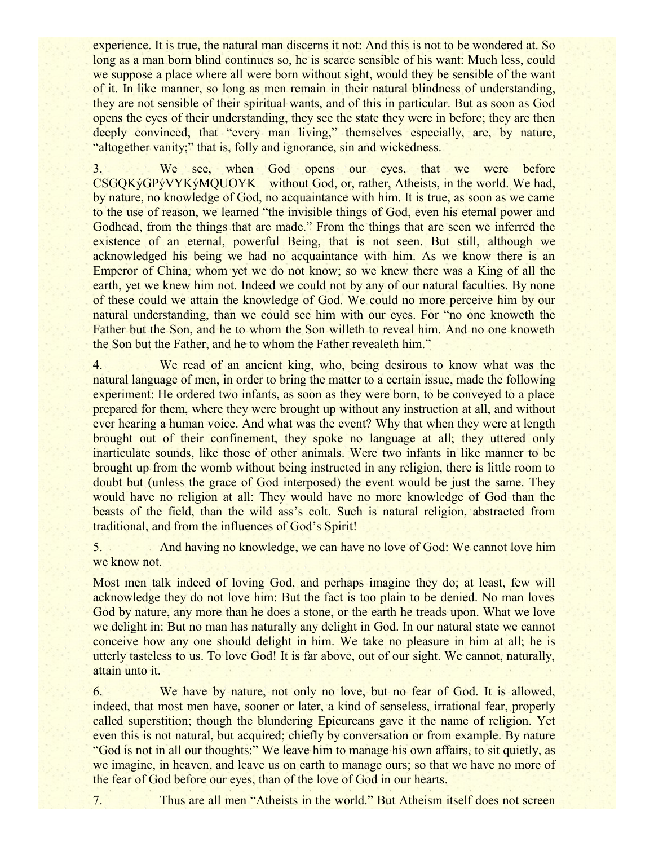experience. It is true, the natural man discerns it not: And this is not to be wondered at. So long as a man born blind continues so, he is scarce sensible of his want: Much less, could we suppose a place where all were born without sight, would they be sensible of the want of it. In like manner, so long as men remain in their natural blindness of understanding, they are not sensible of their spiritual wants, and of this in particular. But as soon as God opens the eyes of their understanding, they see the state they were in before; they are then deeply convinced, that "every man living," themselves especially, are, by nature, "altogether vanity;" that is, folly and ignorance, sin and wickedness.

3. We see, when God opens our eyes, that we were before CSGQKýGPýVYKýMQUOYK – without God, or, rather, Atheists, in the world. We had, by nature, no knowledge of God, no acquaintance with him. It is true, as soon as we came to the use of reason, we learned "the invisible things of God, even his eternal power and Godhead, from the things that are made." From the things that are seen we inferred the existence of an eternal, powerful Being, that is not seen. But still, although we acknowledged his being we had no acquaintance with him. As we know there is an Emperor of China, whom yet we do not know; so we knew there was a King of all the earth, yet we knew him not. Indeed we could not by any of our natural faculties. By none of these could we attain the knowledge of God. We could no more perceive him by our natural understanding, than we could see him with our eyes. For "no one knoweth the Father but the Son, and he to whom the Son willeth to reveal him. And no one knoweth the Son but the Father, and he to whom the Father revealeth him."

4. We read of an ancient king, who, being desirous to know what was the natural language of men, in order to bring the matter to a certain issue, made the following experiment: He ordered two infants, as soon as they were born, to be conveyed to a place prepared for them, where they were brought up without any instruction at all, and without ever hearing a human voice. And what was the event? Why that when they were at length brought out of their confinement, they spoke no language at all; they uttered only inarticulate sounds, like those of other animals. Were two infants in like manner to be brought up from the womb without being instructed in any religion, there is little room to doubt but (unless the grace of God interposed) the event would be just the same. They would have no religion at all: They would have no more knowledge of God than the beasts of the field, than the wild ass's colt. Such is natural religion, abstracted from traditional, and from the influences of God's Spirit!

5. And having no knowledge, we can have no love of God: We cannot love him we know not.

Most men talk indeed of loving God, and perhaps imagine they do; at least, few will acknowledge they do not love him: But the fact is too plain to be denied. No man loves God by nature, any more than he does a stone, or the earth he treads upon. What we love we delight in: But no man has naturally any delight in God. In our natural state we cannot conceive how any one should delight in him. We take no pleasure in him at all; he is utterly tasteless to us. To love God! It is far above, out of our sight. We cannot, naturally, attain unto it.

6. We have by nature, not only no love, but no fear of God. It is allowed, indeed, that most men have, sooner or later, a kind of senseless, irrational fear, properly called superstition; though the blundering Epicureans gave it the name of religion. Yet even this is not natural, but acquired; chiefly by conversation or from example. By nature "God is not in all our thoughts:" We leave him to manage his own affairs, to sit quietly, as we imagine, in heaven, and leave us on earth to manage ours; so that we have no more of the fear of God before our eyes, than of the love of God in our hearts.

7. Thus are all men "Atheists in the world." But Atheism itself does not screen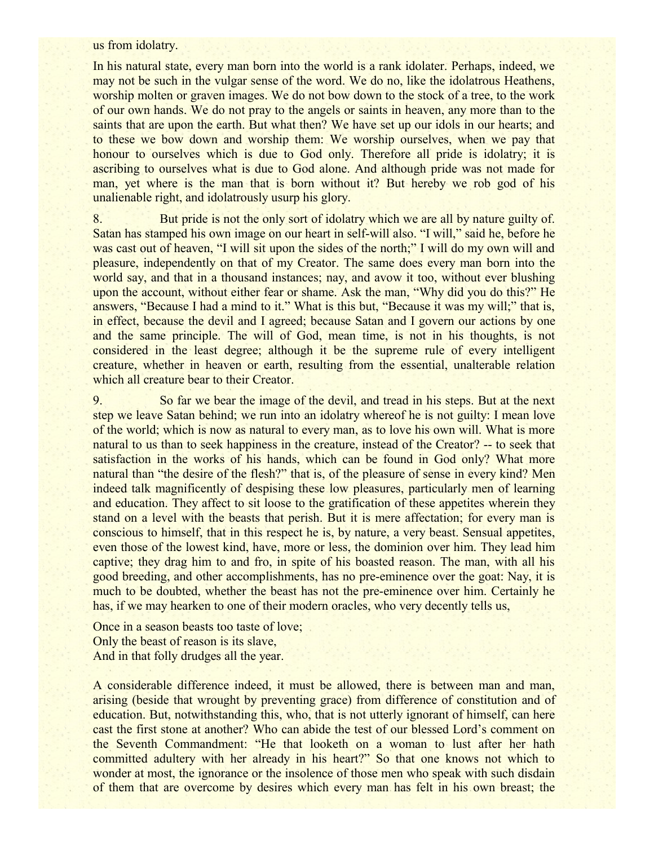us from idolatry.

In his natural state, every man born into the world is a rank idolater. Perhaps, indeed, we may not be such in the vulgar sense of the word. We do no, like the idolatrous Heathens, worship molten or graven images. We do not bow down to the stock of a tree, to the work of our own hands. We do not pray to the angels or saints in heaven, any more than to the saints that are upon the earth. But what then? We have set up our idols in our hearts; and to these we bow down and worship them: We worship ourselves, when we pay that honour to ourselves which is due to God only. Therefore all pride is idolatry; it is ascribing to ourselves what is due to God alone. And although pride was not made for man, yet where is the man that is born without it? But hereby we rob god of his unalienable right, and idolatrously usurp his glory.

8. But pride is not the only sort of idolatry which we are all by nature guilty of. Satan has stamped his own image on our heart in self-will also. "I will," said he, before he was cast out of heaven, "I will sit upon the sides of the north;" I will do my own will and pleasure, independently on that of my Creator. The same does every man born into the world say, and that in a thousand instances; nay, and avow it too, without ever blushing upon the account, without either fear or shame. Ask the man, "Why did you do this?" He answers, "Because I had a mind to it." What is this but, "Because it was my will;" that is, in effect, because the devil and I agreed; because Satan and I govern our actions by one and the same principle. The will of God, mean time, is not in his thoughts, is not considered in the least degree; although it be the supreme rule of every intelligent creature, whether in heaven or earth, resulting from the essential, unalterable relation which all creature bear to their Creator.

9. So far we bear the image of the devil, and tread in his steps. But at the next step we leave Satan behind; we run into an idolatry whereof he is not guilty: I mean love of the world; which is now as natural to every man, as to love his own will. What is more natural to us than to seek happiness in the creature, instead of the Creator? -- to seek that satisfaction in the works of his hands, which can be found in God only? What more natural than "the desire of the flesh?" that is, of the pleasure of sense in every kind? Men indeed talk magnificently of despising these low pleasures, particularly men of learning and education. They affect to sit loose to the gratification of these appetites wherein they stand on a level with the beasts that perish. But it is mere affectation; for every man is conscious to himself, that in this respect he is, by nature, a very beast. Sensual appetites, even those of the lowest kind, have, more or less, the dominion over him. They lead him captive; they drag him to and fro, in spite of his boasted reason. The man, with all his good breeding, and other accomplishments, has no pre-eminence over the goat: Nay, it is much to be doubted, whether the beast has not the pre-eminence over him. Certainly he has, if we may hearken to one of their modern oracles, who very decently tells us,

Once in a season beasts too taste of love; Only the beast of reason is its slave, And in that folly drudges all the year.

A considerable difference indeed, it must be allowed, there is between man and man, arising (beside that wrought by preventing grace) from difference of constitution and of education. But, notwithstanding this, who, that is not utterly ignorant of himself, can here cast the first stone at another? Who can abide the test of our blessed Lord's comment on the Seventh Commandment: "He that looketh on a woman to lust after her hath committed adultery with her already in his heart?" So that one knows not which to wonder at most, the ignorance or the insolence of those men who speak with such disdain of them that are overcome by desires which every man has felt in his own breast; the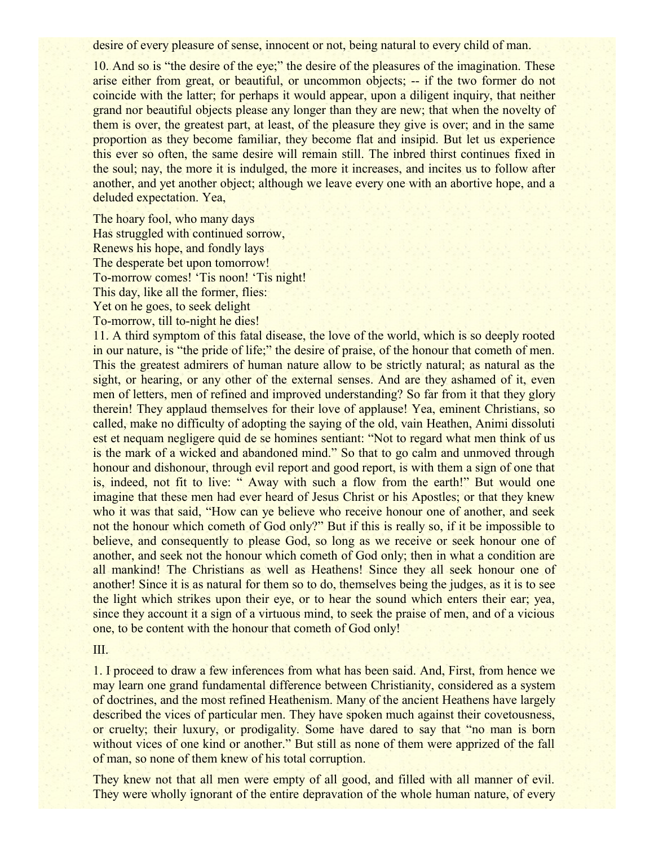desire of every pleasure of sense, innocent or not, being natural to every child of man.

10. And so is "the desire of the eye;" the desire of the pleasures of the imagination. These arise either from great, or beautiful, or uncommon objects; -- if the two former do not coincide with the latter; for perhaps it would appear, upon a diligent inquiry, that neither grand nor beautiful objects please any longer than they are new; that when the novelty of them is over, the greatest part, at least, of the pleasure they give is over; and in the same proportion as they become familiar, they become flat and insipid. But let us experience this ever so often, the same desire will remain still. The inbred thirst continues fixed in the soul; nay, the more it is indulged, the more it increases, and incites us to follow after another, and yet another object; although we leave every one with an abortive hope, and a deluded expectation. Yea,

The hoary fool, who many days Has struggled with continued sorrow, Renews his hope, and fondly lays The desperate bet upon tomorrow! To-morrow comes! 'Tis noon! 'Tis night! This day, like all the former, flies: Yet on he goes, to seek delight To-morrow, till to-night he dies!

11. A third symptom of this fatal disease, the love of the world, which is so deeply rooted in our nature, is "the pride of life;" the desire of praise, of the honour that cometh of men. This the greatest admirers of human nature allow to be strictly natural; as natural as the sight, or hearing, or any other of the external senses. And are they ashamed of it, even men of letters, men of refined and improved understanding? So far from it that they glory therein! They applaud themselves for their love of applause! Yea, eminent Christians, so called, make no difficulty of adopting the saying of the old, vain Heathen, Animi dissoluti est et nequam negligere quid de se homines sentiant: "Not to regard what men think of us is the mark of a wicked and abandoned mind." So that to go calm and unmoved through honour and dishonour, through evil report and good report, is with them a sign of one that is, indeed, not fit to live: " Away with such a flow from the earth!" But would one imagine that these men had ever heard of Jesus Christ or his Apostles; or that they knew who it was that said, "How can ye believe who receive honour one of another, and seek not the honour which cometh of God only?" But if this is really so, if it be impossible to believe, and consequently to please God, so long as we receive or seek honour one of another, and seek not the honour which cometh of God only; then in what a condition are all mankind! The Christians as well as Heathens! Since they all seek honour one of another! Since it is as natural for them so to do, themselves being the judges, as it is to see the light which strikes upon their eye, or to hear the sound which enters their ear; yea, since they account it a sign of a virtuous mind, to seek the praise of men, and of a vicious one, to be content with the honour that cometh of God only!

III.

1. I proceed to draw a few inferences from what has been said. And, First, from hence we may learn one grand fundamental difference between Christianity, considered as a system of doctrines, and the most refined Heathenism. Many of the ancient Heathens have largely described the vices of particular men. They have spoken much against their covetousness, or cruelty; their luxury, or prodigality. Some have dared to say that "no man is born without vices of one kind or another." But still as none of them were apprized of the fall of man, so none of them knew of his total corruption.

They knew not that all men were empty of all good, and filled with all manner of evil. They were wholly ignorant of the entire depravation of the whole human nature, of every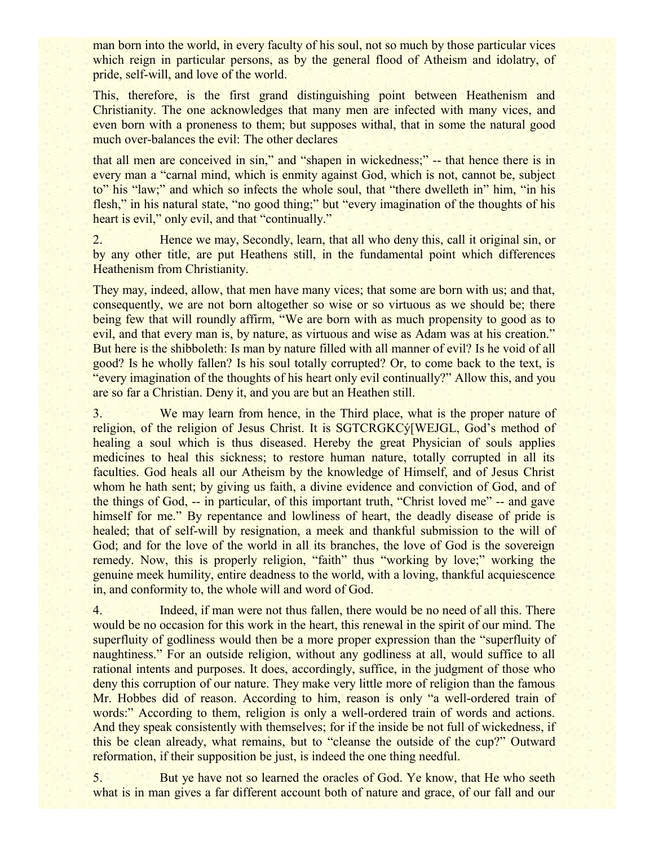man born into the world, in every faculty of his soul, not so much by those particular vices which reign in particular persons, as by the general flood of Atheism and idolatry, of pride, self-will, and love of the world.

This, therefore, is the first grand distinguishing point between Heathenism and Christianity. The one acknowledges that many men are infected with many vices, and even born with a proneness to them; but supposes withal, that in some the natural good much over-balances the evil: The other declares

that all men are conceived in sin," and "shapen in wickedness;" -- that hence there is in every man a "carnal mind, which is enmity against God, which is not, cannot be, subject to" his "law;" and which so infects the whole soul, that "there dwelleth in" him, "in his flesh," in his natural state, "no good thing;" but "every imagination of the thoughts of his heart is evil," only evil, and that "continually."

2. Hence we may, Secondly, learn, that all who deny this, call it original sin, or by any other title, are put Heathens still, in the fundamental point which differences Heathenism from Christianity.

They may, indeed, allow, that men have many vices; that some are born with us; and that, consequently, we are not born altogether so wise or so virtuous as we should be; there being few that will roundly affirm, "We are born with as much propensity to good as to evil, and that every man is, by nature, as virtuous and wise as Adam was at his creation." But here is the shibboleth: Is man by nature filled with all manner of evil? Is he void of all good? Is he wholly fallen? Is his soul totally corrupted? Or, to come back to the text, is "every imagination of the thoughts of his heart only evil continually?" Allow this, and you are so far a Christian. Deny it, and you are but an Heathen still.

3. We may learn from hence, in the Third place, what is the proper nature of religion, of the religion of Jesus Christ. It is SGTCRGKCý[WEJGL, God's method of healing a soul which is thus diseased. Hereby the great Physician of souls applies medicines to heal this sickness; to restore human nature, totally corrupted in all its faculties. God heals all our Atheism by the knowledge of Himself, and of Jesus Christ whom he hath sent; by giving us faith, a divine evidence and conviction of God, and of the things of God, -- in particular, of this important truth, "Christ loved me" -- and gave himself for me." By repentance and lowliness of heart, the deadly disease of pride is healed; that of self-will by resignation, a meek and thankful submission to the will of God; and for the love of the world in all its branches, the love of God is the sovereign remedy. Now, this is properly religion, "faith" thus "working by love;" working the genuine meek humility, entire deadness to the world, with a loving, thankful acquiescence in, and conformity to, the whole will and word of God.

4. Indeed, if man were not thus fallen, there would be no need of all this. There would be no occasion for this work in the heart, this renewal in the spirit of our mind. The superfluity of godliness would then be a more proper expression than the "superfluity of naughtiness." For an outside religion, without any godliness at all, would suffice to all rational intents and purposes. It does, accordingly, suffice, in the judgment of those who deny this corruption of our nature. They make very little more of religion than the famous Mr. Hobbes did of reason. According to him, reason is only "a well-ordered train of words:" According to them, religion is only a well-ordered train of words and actions. And they speak consistently with themselves; for if the inside be not full of wickedness, if this be clean already, what remains, but to "cleanse the outside of the cup?" Outward reformation, if their supposition be just, is indeed the one thing needful.

5. But ye have not so learned the oracles of God. Ye know, that He who seeth what is in man gives a far different account both of nature and grace, of our fall and our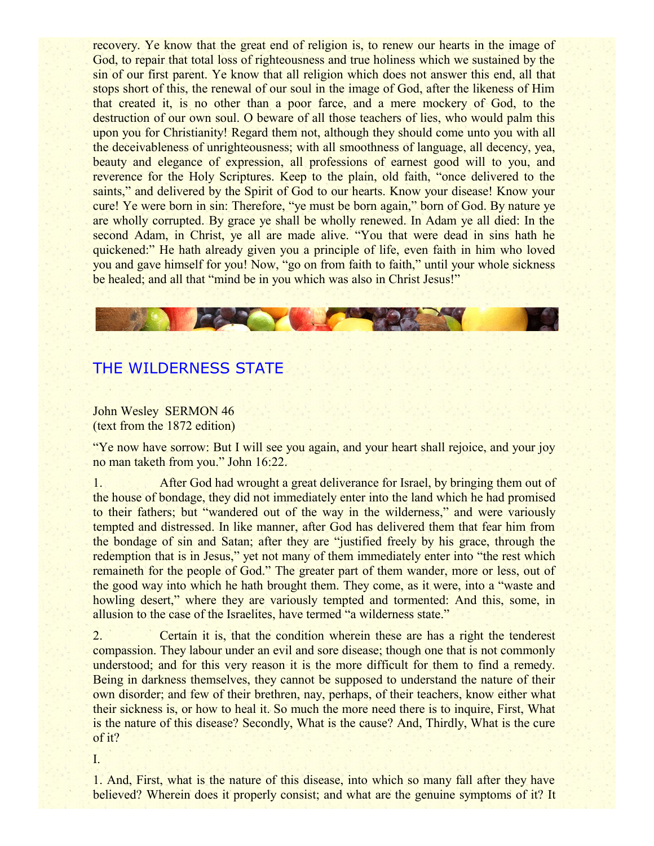recovery. Ye know that the great end of religion is, to renew our hearts in the image of God, to repair that total loss of righteousness and true holiness which we sustained by the sin of our first parent. Ye know that all religion which does not answer this end, all that stops short of this, the renewal of our soul in the image of God, after the likeness of Him that created it, is no other than a poor farce, and a mere mockery of God, to the destruction of our own soul. O beware of all those teachers of lies, who would palm this upon you for Christianity! Regard them not, although they should come unto you with all the deceivableness of unrighteousness; with all smoothness of language, all decency, yea, beauty and elegance of expression, all professions of earnest good will to you, and reverence for the Holy Scriptures. Keep to the plain, old faith, "once delivered to the saints," and delivered by the Spirit of God to our hearts. Know your disease! Know your cure! Ye were born in sin: Therefore, "ye must be born again," born of God. By nature ye are wholly corrupted. By grace ye shall be wholly renewed. In Adam ye all died: In the second Adam, in Christ, ye all are made alive. "You that were dead in sins hath he quickened:" He hath already given you a principle of life, even faith in him who loved you and gave himself for you! Now, "go on from faith to faith," until your whole sickness be healed; and all that "mind be in you which was also in Christ Jesus!"

### THE WILDERNESS STATE

CAR AVIL

John Wesley SERMON 46 (text from the 1872 edition)

"Ye now have sorrow: But I will see you again, and your heart shall rejoice, and your joy no man taketh from you." John 16:22.

1. After God had wrought a great deliverance for Israel, by bringing them out of the house of bondage, they did not immediately enter into the land which he had promised to their fathers; but "wandered out of the way in the wilderness," and were variously tempted and distressed. In like manner, after God has delivered them that fear him from the bondage of sin and Satan; after they are "justified freely by his grace, through the redemption that is in Jesus," yet not many of them immediately enter into "the rest which remaineth for the people of God." The greater part of them wander, more or less, out of the good way into which he hath brought them. They come, as it were, into a "waste and howling desert," where they are variously tempted and tormented: And this, some, in allusion to the case of the Israelites, have termed "a wilderness state."

2. Certain it is, that the condition wherein these are has a right the tenderest compassion. They labour under an evil and sore disease; though one that is not commonly understood; and for this very reason it is the more difficult for them to find a remedy. Being in darkness themselves, they cannot be supposed to understand the nature of their own disorder; and few of their brethren, nay, perhaps, of their teachers, know either what their sickness is, or how to heal it. So much the more need there is to inquire, First, What is the nature of this disease? Secondly, What is the cause? And, Thirdly, What is the cure of it?

I.

1. And, First, what is the nature of this disease, into which so many fall after they have believed? Wherein does it properly consist; and what are the genuine symptoms of it? It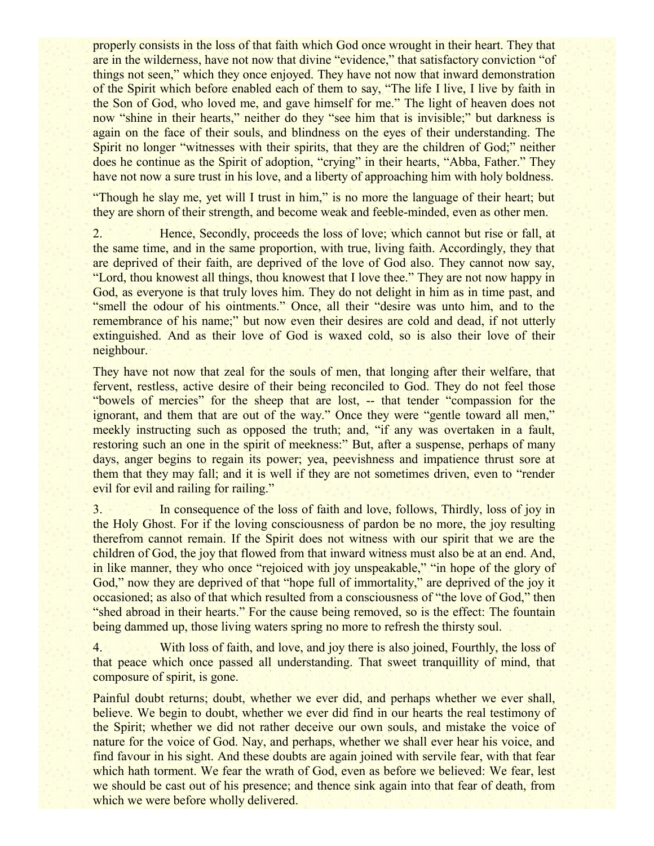properly consists in the loss of that faith which God once wrought in their heart. They that are in the wilderness, have not now that divine "evidence," that satisfactory conviction "of things not seen," which they once enjoyed. They have not now that inward demonstration of the Spirit which before enabled each of them to say, "The life I live, I live by faith in the Son of God, who loved me, and gave himself for me." The light of heaven does not now "shine in their hearts," neither do they "see him that is invisible;" but darkness is again on the face of their souls, and blindness on the eyes of their understanding. The Spirit no longer "witnesses with their spirits, that they are the children of God;" neither does he continue as the Spirit of adoption, "crying" in their hearts, "Abba, Father." They have not now a sure trust in his love, and a liberty of approaching him with holy boldness.

"Though he slay me, yet will I trust in him," is no more the language of their heart; but they are shorn of their strength, and become weak and feeble-minded, even as other men.

2. Hence, Secondly, proceeds the loss of love; which cannot but rise or fall, at the same time, and in the same proportion, with true, living faith. Accordingly, they that are deprived of their faith, are deprived of the love of God also. They cannot now say, "Lord, thou knowest all things, thou knowest that I love thee." They are not now happy in God, as everyone is that truly loves him. They do not delight in him as in time past, and "smell the odour of his ointments." Once, all their "desire was unto him, and to the remembrance of his name;" but now even their desires are cold and dead, if not utterly extinguished. And as their love of God is waxed cold, so is also their love of their neighbour.

They have not now that zeal for the souls of men, that longing after their welfare, that fervent, restless, active desire of their being reconciled to God. They do not feel those "bowels of mercies" for the sheep that are lost, -- that tender "compassion for the ignorant, and them that are out of the way." Once they were "gentle toward all men," meekly instructing such as opposed the truth; and, "if any was overtaken in a fault, restoring such an one in the spirit of meekness:" But, after a suspense, perhaps of many days, anger begins to regain its power; yea, peevishness and impatience thrust sore at them that they may fall; and it is well if they are not sometimes driven, even to "render evil for evil and railing for railing."

3. In consequence of the loss of faith and love, follows, Thirdly, loss of joy in the Holy Ghost. For if the loving consciousness of pardon be no more, the joy resulting therefrom cannot remain. If the Spirit does not witness with our spirit that we are the children of God, the joy that flowed from that inward witness must also be at an end. And, in like manner, they who once "rejoiced with joy unspeakable," "in hope of the glory of God," now they are deprived of that "hope full of immortality," are deprived of the joy it occasioned; as also of that which resulted from a consciousness of "the love of God," then "shed abroad in their hearts." For the cause being removed, so is the effect: The fountain being dammed up, those living waters spring no more to refresh the thirsty soul.

4. With loss of faith, and love, and joy there is also joined, Fourthly, the loss of that peace which once passed all understanding. That sweet tranquillity of mind, that composure of spirit, is gone.

Painful doubt returns; doubt, whether we ever did, and perhaps whether we ever shall, believe. We begin to doubt, whether we ever did find in our hearts the real testimony of the Spirit; whether we did not rather deceive our own souls, and mistake the voice of nature for the voice of God. Nay, and perhaps, whether we shall ever hear his voice, and find favour in his sight. And these doubts are again joined with servile fear, with that fear which hath torment. We fear the wrath of God, even as before we believed: We fear, lest we should be cast out of his presence; and thence sink again into that fear of death, from which we were before wholly delivered.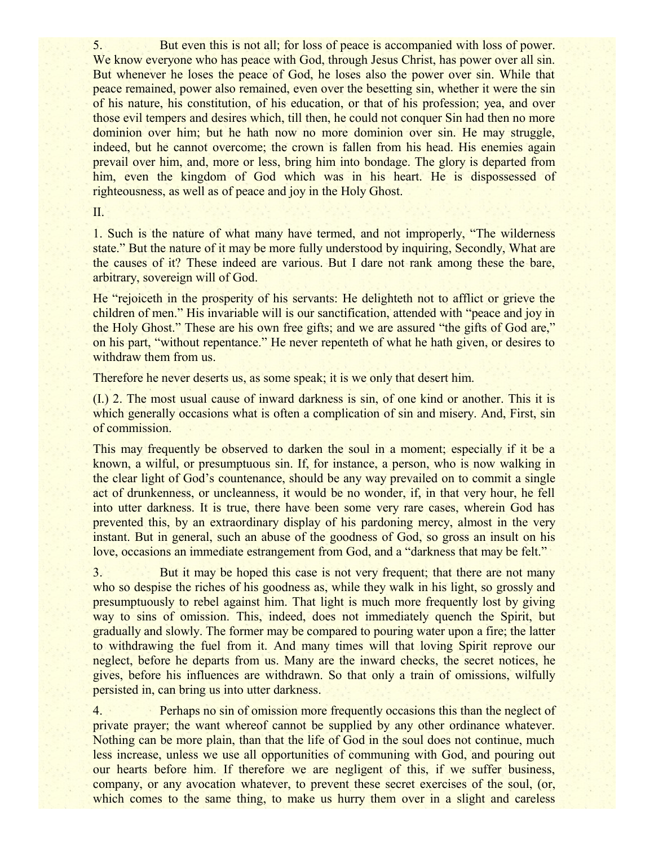5. But even this is not all; for loss of peace is accompanied with loss of power. We know everyone who has peace with God, through Jesus Christ, has power over all sin. But whenever he loses the peace of God, he loses also the power over sin. While that peace remained, power also remained, even over the besetting sin, whether it were the sin of his nature, his constitution, of his education, or that of his profession; yea, and over those evil tempers and desires which, till then, he could not conquer Sin had then no more dominion over him; but he hath now no more dominion over sin. He may struggle, indeed, but he cannot overcome; the crown is fallen from his head. His enemies again prevail over him, and, more or less, bring him into bondage. The glory is departed from him, even the kingdom of God which was in his heart. He is dispossessed of righteousness, as well as of peace and joy in the Holy Ghost.

II.

1. Such is the nature of what many have termed, and not improperly, "The wilderness state." But the nature of it may be more fully understood by inquiring, Secondly, What are the causes of it? These indeed are various. But I dare not rank among these the bare, arbitrary, sovereign will of God.

He "rejoiceth in the prosperity of his servants: He delighteth not to afflict or grieve the children of men." His invariable will is our sanctification, attended with "peace and joy in the Holy Ghost." These are his own free gifts; and we are assured "the gifts of God are," on his part, "without repentance." He never repenteth of what he hath given, or desires to withdraw them from us.

Therefore he never deserts us, as some speak; it is we only that desert him.

(I.) 2. The most usual cause of inward darkness is sin, of one kind or another. This it is which generally occasions what is often a complication of sin and misery. And, First, sin of commission.

This may frequently be observed to darken the soul in a moment; especially if it be a known, a wilful, or presumptuous sin. If, for instance, a person, who is now walking in the clear light of God's countenance, should be any way prevailed on to commit a single act of drunkenness, or uncleanness, it would be no wonder, if, in that very hour, he fell into utter darkness. It is true, there have been some very rare cases, wherein God has prevented this, by an extraordinary display of his pardoning mercy, almost in the very instant. But in general, such an abuse of the goodness of God, so gross an insult on his love, occasions an immediate estrangement from God, and a "darkness that may be felt."

3. But it may be hoped this case is not very frequent; that there are not many who so despise the riches of his goodness as, while they walk in his light, so grossly and presumptuously to rebel against him. That light is much more frequently lost by giving way to sins of omission. This, indeed, does not immediately quench the Spirit, but gradually and slowly. The former may be compared to pouring water upon a fire; the latter to withdrawing the fuel from it. And many times will that loving Spirit reprove our neglect, before he departs from us. Many are the inward checks, the secret notices, he gives, before his influences are withdrawn. So that only a train of omissions, wilfully persisted in, can bring us into utter darkness.

4. Perhaps no sin of omission more frequently occasions this than the neglect of private prayer; the want whereof cannot be supplied by any other ordinance whatever. Nothing can be more plain, than that the life of God in the soul does not continue, much less increase, unless we use all opportunities of communing with God, and pouring out our hearts before him. If therefore we are negligent of this, if we suffer business, company, or any avocation whatever, to prevent these secret exercises of the soul, (or, which comes to the same thing, to make us hurry them over in a slight and careless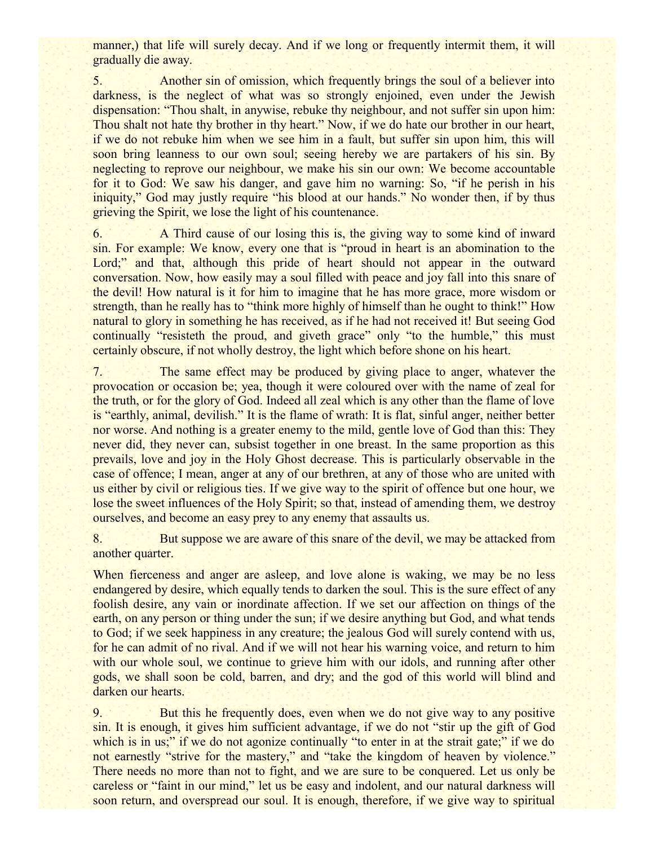manner,) that life will surely decay. And if we long or frequently intermit them, it will gradually die away.

5. Another sin of omission, which frequently brings the soul of a believer into darkness, is the neglect of what was so strongly enjoined, even under the Jewish dispensation: "Thou shalt, in anywise, rebuke thy neighbour, and not suffer sin upon him: Thou shalt not hate thy brother in thy heart." Now, if we do hate our brother in our heart, if we do not rebuke him when we see him in a fault, but suffer sin upon him, this will soon bring leanness to our own soul; seeing hereby we are partakers of his sin. By neglecting to reprove our neighbour, we make his sin our own: We become accountable for it to God: We saw his danger, and gave him no warning: So, "if he perish in his iniquity," God may justly require "his blood at our hands." No wonder then, if by thus grieving the Spirit, we lose the light of his countenance.

6. A Third cause of our losing this is, the giving way to some kind of inward sin. For example: We know, every one that is "proud in heart is an abomination to the Lord;" and that, although this pride of heart should not appear in the outward conversation. Now, how easily may a soul filled with peace and joy fall into this snare of the devil! How natural is it for him to imagine that he has more grace, more wisdom or strength, than he really has to "think more highly of himself than he ought to think!" How natural to glory in something he has received, as if he had not received it! But seeing God continually "resisteth the proud, and giveth grace" only "to the humble," this must certainly obscure, if not wholly destroy, the light which before shone on his heart.

7. The same effect may be produced by giving place to anger, whatever the provocation or occasion be; yea, though it were coloured over with the name of zeal for the truth, or for the glory of God. Indeed all zeal which is any other than the flame of love is "earthly, animal, devilish." It is the flame of wrath: It is flat, sinful anger, neither better nor worse. And nothing is a greater enemy to the mild, gentle love of God than this: They never did, they never can, subsist together in one breast. In the same proportion as this prevails, love and joy in the Holy Ghost decrease. This is particularly observable in the case of offence; I mean, anger at any of our brethren, at any of those who are united with us either by civil or religious ties. If we give way to the spirit of offence but one hour, we lose the sweet influences of the Holy Spirit; so that, instead of amending them, we destroy ourselves, and become an easy prey to any enemy that assaults us.

8. But suppose we are aware of this snare of the devil, we may be attacked from another quarter.

When fierceness and anger are asleep, and love alone is waking, we may be no less endangered by desire, which equally tends to darken the soul. This is the sure effect of any foolish desire, any vain or inordinate affection. If we set our affection on things of the earth, on any person or thing under the sun; if we desire anything but God, and what tends to God; if we seek happiness in any creature; the jealous God will surely contend with us, for he can admit of no rival. And if we will not hear his warning voice, and return to him with our whole soul, we continue to grieve him with our idols, and running after other gods, we shall soon be cold, barren, and dry; and the god of this world will blind and darken our hearts.

9. But this he frequently does, even when we do not give way to any positive sin. It is enough, it gives him sufficient advantage, if we do not "stir up the gift of God which is in us;" if we do not agonize continually "to enter in at the strait gate;" if we do not earnestly "strive for the mastery," and "take the kingdom of heaven by violence." There needs no more than not to fight, and we are sure to be conquered. Let us only be careless or "faint in our mind," let us be easy and indolent, and our natural darkness will soon return, and overspread our soul. It is enough, therefore, if we give way to spiritual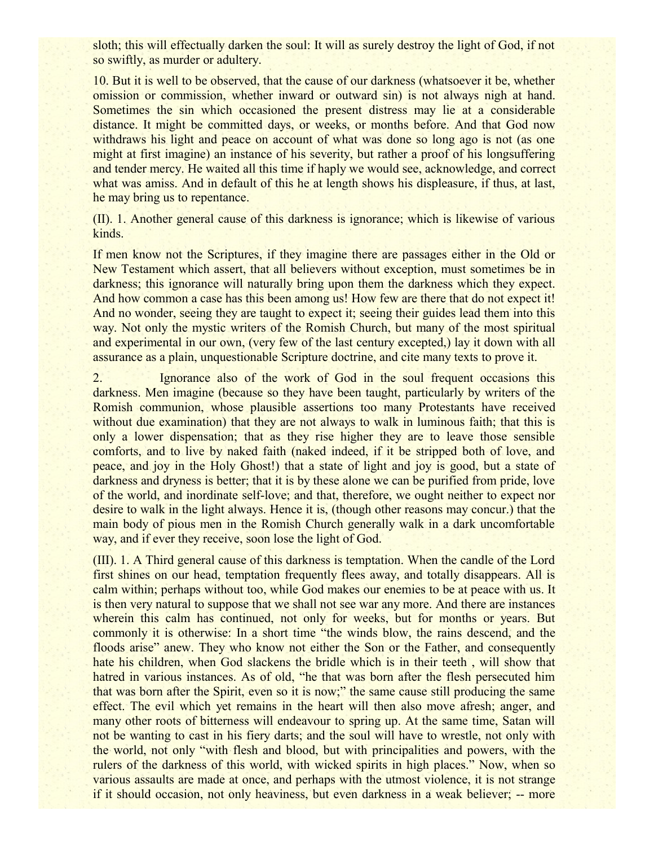sloth; this will effectually darken the soul: It will as surely destroy the light of God, if not so swiftly, as murder or adultery.

10. But it is well to be observed, that the cause of our darkness (whatsoever it be, whether omission or commission, whether inward or outward sin) is not always nigh at hand. Sometimes the sin which occasioned the present distress may lie at a considerable distance. It might be committed days, or weeks, or months before. And that God now withdraws his light and peace on account of what was done so long ago is not (as one might at first imagine) an instance of his severity, but rather a proof of his longsuffering and tender mercy. He waited all this time if haply we would see, acknowledge, and correct what was amiss. And in default of this he at length shows his displeasure, if thus, at last, he may bring us to repentance.

(II). 1. Another general cause of this darkness is ignorance; which is likewise of various kinds.

If men know not the Scriptures, if they imagine there are passages either in the Old or New Testament which assert, that all believers without exception, must sometimes be in darkness; this ignorance will naturally bring upon them the darkness which they expect. And how common a case has this been among us! How few are there that do not expect it! And no wonder, seeing they are taught to expect it; seeing their guides lead them into this way. Not only the mystic writers of the Romish Church, but many of the most spiritual and experimental in our own, (very few of the last century excepted,) lay it down with all assurance as a plain, unquestionable Scripture doctrine, and cite many texts to prove it.

2. Ignorance also of the work of God in the soul frequent occasions this darkness. Men imagine (because so they have been taught, particularly by writers of the Romish communion, whose plausible assertions too many Protestants have received without due examination) that they are not always to walk in luminous faith; that this is only a lower dispensation; that as they rise higher they are to leave those sensible comforts, and to live by naked faith (naked indeed, if it be stripped both of love, and peace, and joy in the Holy Ghost!) that a state of light and joy is good, but a state of darkness and dryness is better; that it is by these alone we can be purified from pride, love of the world, and inordinate self-love; and that, therefore, we ought neither to expect nor desire to walk in the light always. Hence it is, (though other reasons may concur.) that the main body of pious men in the Romish Church generally walk in a dark uncomfortable way, and if ever they receive, soon lose the light of God.

(III). 1. A Third general cause of this darkness is temptation. When the candle of the Lord first shines on our head, temptation frequently flees away, and totally disappears. All is calm within; perhaps without too, while God makes our enemies to be at peace with us. It is then very natural to suppose that we shall not see war any more. And there are instances wherein this calm has continued, not only for weeks, but for months or years. But commonly it is otherwise: In a short time "the winds blow, the rains descend, and the floods arise" anew. They who know not either the Son or the Father, and consequently hate his children, when God slackens the bridle which is in their teeth , will show that hatred in various instances. As of old, "he that was born after the flesh persecuted him that was born after the Spirit, even so it is now;" the same cause still producing the same effect. The evil which yet remains in the heart will then also move afresh; anger, and many other roots of bitterness will endeavour to spring up. At the same time, Satan will not be wanting to cast in his fiery darts; and the soul will have to wrestle, not only with the world, not only "with flesh and blood, but with principalities and powers, with the rulers of the darkness of this world, with wicked spirits in high places." Now, when so various assaults are made at once, and perhaps with the utmost violence, it is not strange if it should occasion, not only heaviness, but even darkness in a weak believer; -- more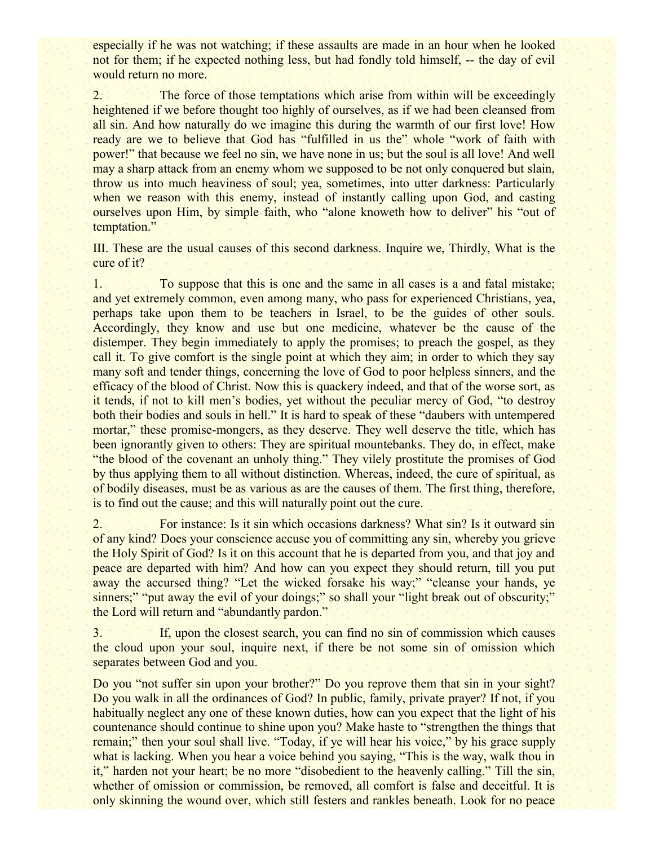especially if he was not watching; if these assaults are made in an hour when he looked not for them; if he expected nothing less, but had fondly told himself, -- the day of evil would return no more.

2. The force of those temptations which arise from within will be exceedingly heightened if we before thought too highly of ourselves, as if we had been cleansed from all sin. And how naturally do we imagine this during the warmth of our first love! How ready are we to believe that God has "fulfilled in us the" whole "work of faith with power!" that because we feel no sin, we have none in us; but the soul is all love! And well may a sharp attack from an enemy whom we supposed to be not only conquered but slain, throw us into much heaviness of soul; yea, sometimes, into utter darkness: Particularly when we reason with this enemy, instead of instantly calling upon God, and casting ourselves upon Him, by simple faith, who "alone knoweth how to deliver" his "out of temptation."

III. These are the usual causes of this second darkness. Inquire we, Thirdly, What is the cure of it?

1. To suppose that this is one and the same in all cases is a and fatal mistake; and yet extremely common, even among many, who pass for experienced Christians, yea, perhaps take upon them to be teachers in Israel, to be the guides of other souls. Accordingly, they know and use but one medicine, whatever be the cause of the distemper. They begin immediately to apply the promises; to preach the gospel, as they call it. To give comfort is the single point at which they aim; in order to which they say many soft and tender things, concerning the love of God to poor helpless sinners, and the efficacy of the blood of Christ. Now this is quackery indeed, and that of the worse sort, as it tends, if not to kill men's bodies, yet without the peculiar mercy of God, "to destroy both their bodies and souls in hell." It is hard to speak of these "daubers with untempered mortar," these promise-mongers, as they deserve. They well deserve the title, which has been ignorantly given to others: They are spiritual mountebanks. They do, in effect, make "the blood of the covenant an unholy thing." They vilely prostitute the promises of God by thus applying them to all without distinction. Whereas, indeed, the cure of spiritual, as of bodily diseases, must be as various as are the causes of them. The first thing, therefore, is to find out the cause; and this will naturally point out the cure.

2. For instance: Is it sin which occasions darkness? What sin? Is it outward sin of any kind? Does your conscience accuse you of committing any sin, whereby you grieve the Holy Spirit of God? Is it on this account that he is departed from you, and that joy and peace are departed with him? And how can you expect they should return, till you put away the accursed thing? "Let the wicked forsake his way;" "cleanse your hands, ye sinners;" "put away the evil of your doings;" so shall your "light break out of obscurity;" the Lord will return and "abundantly pardon."

3. If, upon the closest search, you can find no sin of commission which causes the cloud upon your soul, inquire next, if there be not some sin of omission which separates between God and you.

Do you "not suffer sin upon your brother?" Do you reprove them that sin in your sight? Do you walk in all the ordinances of God? In public, family, private prayer? If not, if you habitually neglect any one of these known duties, how can you expect that the light of his countenance should continue to shine upon you? Make haste to "strengthen the things that remain;" then your soul shall live. "Today, if ye will hear his voice," by his grace supply what is lacking. When you hear a voice behind you saying, "This is the way, walk thou in it," harden not your heart; be no more "disobedient to the heavenly calling." Till the sin, whether of omission or commission, be removed, all comfort is false and deceitful. It is only skinning the wound over, which still festers and rankles beneath. Look for no peace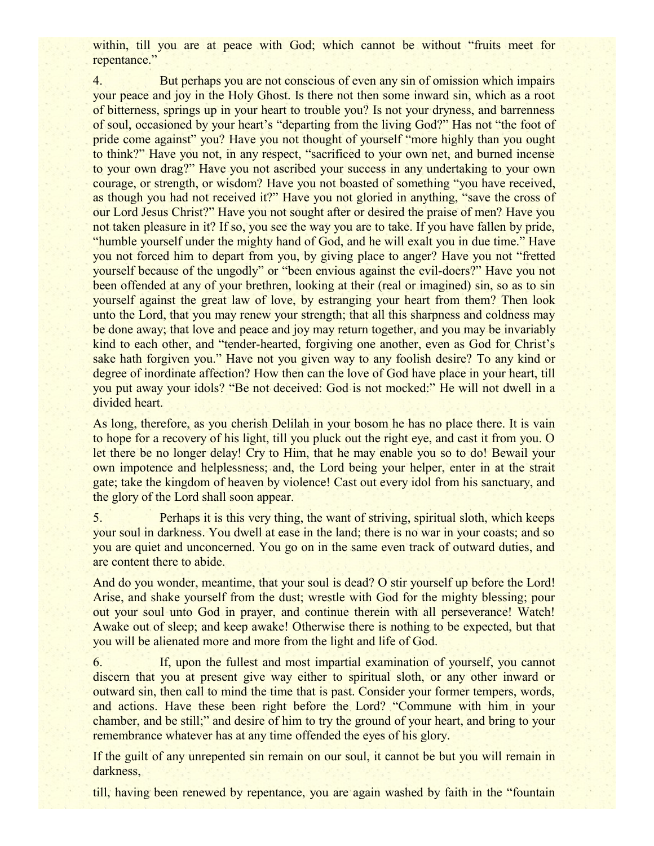within, till you are at peace with God; which cannot be without "fruits meet for repentance."

4. But perhaps you are not conscious of even any sin of omission which impairs your peace and joy in the Holy Ghost. Is there not then some inward sin, which as a root of bitterness, springs up in your heart to trouble you? Is not your dryness, and barrenness of soul, occasioned by your heart's "departing from the living God?" Has not "the foot of pride come against" you? Have you not thought of yourself "more highly than you ought to think?" Have you not, in any respect, "sacrificed to your own net, and burned incense to your own drag?" Have you not ascribed your success in any undertaking to your own courage, or strength, or wisdom? Have you not boasted of something "you have received, as though you had not received it?" Have you not gloried in anything, "save the cross of our Lord Jesus Christ?" Have you not sought after or desired the praise of men? Have you not taken pleasure in it? If so, you see the way you are to take. If you have fallen by pride, "humble yourself under the mighty hand of God, and he will exalt you in due time." Have you not forced him to depart from you, by giving place to anger? Have you not "fretted yourself because of the ungodly" or "been envious against the evil-doers?" Have you not been offended at any of your brethren, looking at their (real or imagined) sin, so as to sin yourself against the great law of love, by estranging your heart from them? Then look unto the Lord, that you may renew your strength; that all this sharpness and coldness may be done away; that love and peace and joy may return together, and you may be invariably kind to each other, and "tender-hearted, forgiving one another, even as God for Christ's sake hath forgiven you." Have not you given way to any foolish desire? To any kind or degree of inordinate affection? How then can the love of God have place in your heart, till you put away your idols? "Be not deceived: God is not mocked:" He will not dwell in a divided heart.

As long, therefore, as you cherish Delilah in your bosom he has no place there. It is vain to hope for a recovery of his light, till you pluck out the right eye, and cast it from you. O let there be no longer delay! Cry to Him, that he may enable you so to do! Bewail your own impotence and helplessness; and, the Lord being your helper, enter in at the strait gate; take the kingdom of heaven by violence! Cast out every idol from his sanctuary, and the glory of the Lord shall soon appear.

5. Perhaps it is this very thing, the want of striving, spiritual sloth, which keeps your soul in darkness. You dwell at ease in the land; there is no war in your coasts; and so you are quiet and unconcerned. You go on in the same even track of outward duties, and are content there to abide.

And do you wonder, meantime, that your soul is dead? O stir yourself up before the Lord! Arise, and shake yourself from the dust; wrestle with God for the mighty blessing; pour out your soul unto God in prayer, and continue therein with all perseverance! Watch! Awake out of sleep; and keep awake! Otherwise there is nothing to be expected, but that you will be alienated more and more from the light and life of God.

6. If, upon the fullest and most impartial examination of yourself, you cannot discern that you at present give way either to spiritual sloth, or any other inward or outward sin, then call to mind the time that is past. Consider your former tempers, words, and actions. Have these been right before the Lord? "Commune with him in your chamber, and be still;" and desire of him to try the ground of your heart, and bring to your remembrance whatever has at any time offended the eyes of his glory.

If the guilt of any unrepented sin remain on our soul, it cannot be but you will remain in darkness,

till, having been renewed by repentance, you are again washed by faith in the "fountain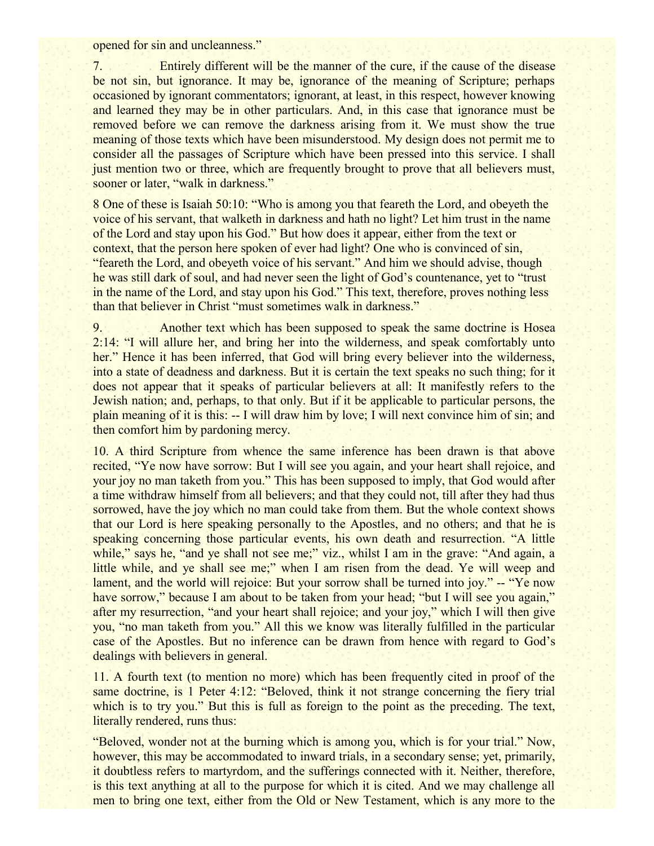opened for sin and uncleanness."

7. Entirely different will be the manner of the cure, if the cause of the disease be not sin, but ignorance. It may be, ignorance of the meaning of Scripture; perhaps occasioned by ignorant commentators; ignorant, at least, in this respect, however knowing and learned they may be in other particulars. And, in this case that ignorance must be removed before we can remove the darkness arising from it. We must show the true meaning of those texts which have been misunderstood. My design does not permit me to consider all the passages of Scripture which have been pressed into this service. I shall just mention two or three, which are frequently brought to prove that all believers must, sooner or later, "walk in darkness."

8 One of these is Isaiah 50:10: "Who is among you that feareth the Lord, and obeyeth the voice of his servant, that walketh in darkness and hath no light? Let him trust in the name of the Lord and stay upon his God." But how does it appear, either from the text or context, that the person here spoken of ever had light? One who is convinced of sin, "feareth the Lord, and obeyeth voice of his servant." And him we should advise, though he was still dark of soul, and had never seen the light of God's countenance, yet to "trust in the name of the Lord, and stay upon his God." This text, therefore, proves nothing less than that believer in Christ "must sometimes walk in darkness."

9. Another text which has been supposed to speak the same doctrine is Hosea 2:14: "I will allure her, and bring her into the wilderness, and speak comfortably unto her." Hence it has been inferred, that God will bring every believer into the wilderness, into a state of deadness and darkness. But it is certain the text speaks no such thing; for it does not appear that it speaks of particular believers at all: It manifestly refers to the Jewish nation; and, perhaps, to that only. But if it be applicable to particular persons, the plain meaning of it is this: -- I will draw him by love; I will next convince him of sin; and then comfort him by pardoning mercy.

10. A third Scripture from whence the same inference has been drawn is that above recited, "Ye now have sorrow: But I will see you again, and your heart shall rejoice, and your joy no man taketh from you." This has been supposed to imply, that God would after a time withdraw himself from all believers; and that they could not, till after they had thus sorrowed, have the joy which no man could take from them. But the whole context shows that our Lord is here speaking personally to the Apostles, and no others; and that he is speaking concerning those particular events, his own death and resurrection. "A little while," says he, "and ye shall not see me;" viz., whilst I am in the grave: "And again, a little while, and ye shall see me;" when I am risen from the dead. Ye will weep and lament, and the world will rejoice: But your sorrow shall be turned into joy." -- "Ye now have sorrow," because I am about to be taken from your head; "but I will see you again," after my resurrection, "and your heart shall rejoice; and your joy," which I will then give you, "no man taketh from you." All this we know was literally fulfilled in the particular case of the Apostles. But no inference can be drawn from hence with regard to God's dealings with believers in general.

11. A fourth text (to mention no more) which has been frequently cited in proof of the same doctrine, is 1 Peter 4:12: "Beloved, think it not strange concerning the fiery trial which is to try you." But this is full as foreign to the point as the preceding. The text, literally rendered, runs thus:

"Beloved, wonder not at the burning which is among you, which is for your trial." Now, however, this may be accommodated to inward trials, in a secondary sense; yet, primarily, it doubtless refers to martyrdom, and the sufferings connected with it. Neither, therefore, is this text anything at all to the purpose for which it is cited. And we may challenge all men to bring one text, either from the Old or New Testament, which is any more to the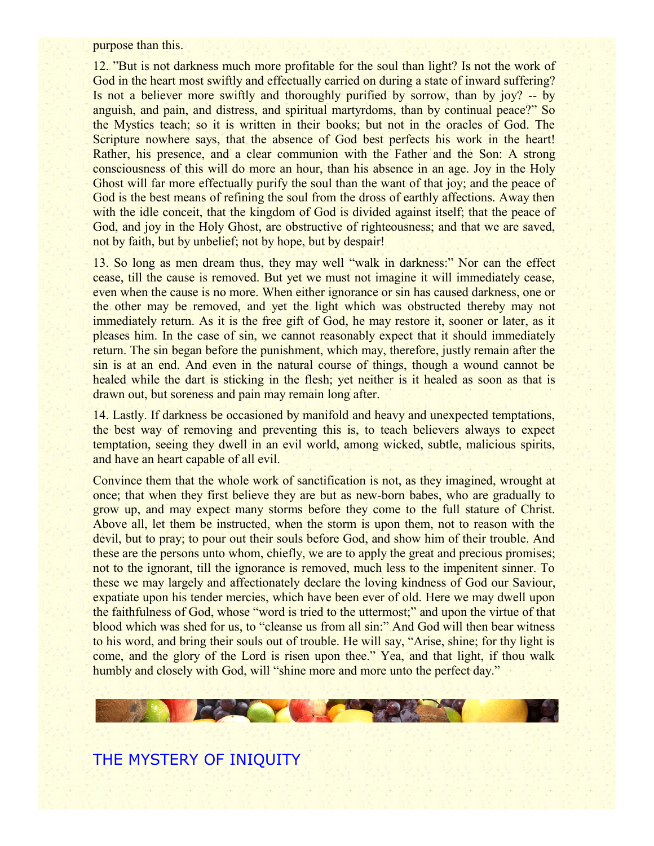purpose than this.

12. "But is not darkness much more profitable for the soul than light? Is not the work of God in the heart most swiftly and effectually carried on during a state of inward suffering? Is not a believer more swiftly and thoroughly purified by sorrow, than by joy? -- by anguish, and pain, and distress, and spiritual martyrdoms, than by continual peace?" So the Mystics teach; so it is written in their books; but not in the oracles of God. The Scripture nowhere says, that the absence of God best perfects his work in the heart! Rather, his presence, and a clear communion with the Father and the Son: A strong consciousness of this will do more an hour, than his absence in an age. Joy in the Holy Ghost will far more effectually purify the soul than the want of that joy; and the peace of God is the best means of refining the soul from the dross of earthly affections. Away then with the idle conceit, that the kingdom of God is divided against itself; that the peace of God, and joy in the Holy Ghost, are obstructive of righteousness; and that we are saved, not by faith, but by unbelief; not by hope, but by despair!

13. So long as men dream thus, they may well "walk in darkness:" Nor can the effect cease, till the cause is removed. But yet we must not imagine it will immediately cease, even when the cause is no more. When either ignorance or sin has caused darkness, one or the other may be removed, and yet the light which was obstructed thereby may not immediately return. As it is the free gift of God, he may restore it, sooner or later, as it pleases him. In the case of sin, we cannot reasonably expect that it should immediately return. The sin began before the punishment, which may, therefore, justly remain after the sin is at an end. And even in the natural course of things, though a wound cannot be healed while the dart is sticking in the flesh; yet neither is it healed as soon as that is drawn out, but soreness and pain may remain long after.

14. Lastly. If darkness be occasioned by manifold and heavy and unexpected temptations, the best way of removing and preventing this is, to teach believers always to expect temptation, seeing they dwell in an evil world, among wicked, subtle, malicious spirits, and have an heart capable of all evil.

Convince them that the whole work of sanctification is not, as they imagined, wrought at once; that when they first believe they are but as new-born babes, who are gradually to grow up, and may expect many storms before they come to the full stature of Christ. Above all, let them be instructed, when the storm is upon them, not to reason with the devil, but to pray; to pour out their souls before God, and show him of their trouble. And these are the persons unto whom, chiefly, we are to apply the great and precious promises; not to the ignorant, till the ignorance is removed, much less to the impenitent sinner. To these we may largely and affectionately declare the loving kindness of God our Saviour, expatiate upon his tender mercies, which have been ever of old. Here we may dwell upon the faithfulness of God, whose "word is tried to the uttermost;" and upon the virtue of that blood which was shed for us, to "cleanse us from all sin:" And God will then bear witness to his word, and bring their souls out of trouble. He will say, "Arise, shine; for thy light is come, and the glory of the Lord is risen upon thee." Yea, and that light, if thou walk humbly and closely with God, will "shine more and more unto the perfect day."

## THE MYSTERY OF INIQUITY

**CALL**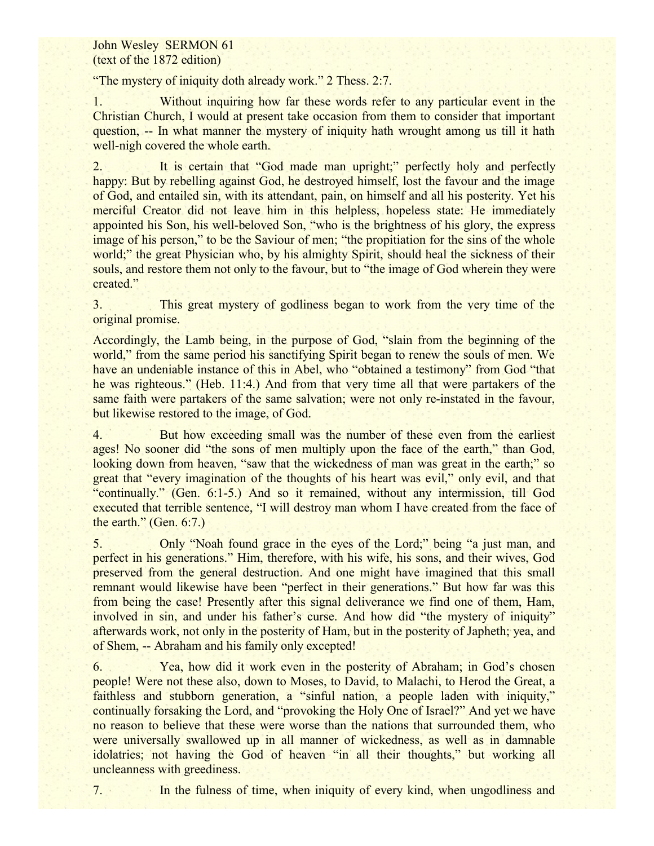John Wesley SERMON 61 (text of the 1872 edition)

"The mystery of iniquity doth already work." 2 Thess. 2:7.

1. Without inquiring how far these words refer to any particular event in the Christian Church, I would at present take occasion from them to consider that important question, -- In what manner the mystery of iniquity hath wrought among us till it hath well-nigh covered the whole earth.

2. It is certain that "God made man upright;" perfectly holy and perfectly happy: But by rebelling against God, he destroyed himself, lost the favour and the image of God, and entailed sin, with its attendant, pain, on himself and all his posterity. Yet his merciful Creator did not leave him in this helpless, hopeless state: He immediately appointed his Son, his well-beloved Son, "who is the brightness of his glory, the express image of his person," to be the Saviour of men; "the propitiation for the sins of the whole world;" the great Physician who, by his almighty Spirit, should heal the sickness of their souls, and restore them not only to the favour, but to "the image of God wherein they were created."

3. This great mystery of godliness began to work from the very time of the original promise.

Accordingly, the Lamb being, in the purpose of God, "slain from the beginning of the world," from the same period his sanctifying Spirit began to renew the souls of men. We have an undeniable instance of this in Abel, who "obtained a testimony" from God "that he was righteous." (Heb. 11:4.) And from that very time all that were partakers of the same faith were partakers of the same salvation; were not only re-instated in the favour, but likewise restored to the image, of God.

4. But how exceeding small was the number of these even from the earliest ages! No sooner did "the sons of men multiply upon the face of the earth," than God, looking down from heaven, "saw that the wickedness of man was great in the earth;" so great that "every imagination of the thoughts of his heart was evil," only evil, and that "continually." (Gen. 6:1-5.) And so it remained, without any intermission, till God executed that terrible sentence, "I will destroy man whom I have created from the face of the earth." (Gen. 6:7.)

5. Only "Noah found grace in the eyes of the Lord;" being "a just man, and perfect in his generations." Him, therefore, with his wife, his sons, and their wives, God preserved from the general destruction. And one might have imagined that this small remnant would likewise have been "perfect in their generations." But how far was this from being the case! Presently after this signal deliverance we find one of them, Ham, involved in sin, and under his father's curse. And how did "the mystery of iniquity" afterwards work, not only in the posterity of Ham, but in the posterity of Japheth; yea, and of Shem, -- Abraham and his family only excepted!

6. Yea, how did it work even in the posterity of Abraham; in God's chosen people! Were not these also, down to Moses, to David, to Malachi, to Herod the Great, a faithless and stubborn generation, a "sinful nation, a people laden with iniquity," continually forsaking the Lord, and "provoking the Holy One of Israel?" And yet we have no reason to believe that these were worse than the nations that surrounded them, who were universally swallowed up in all manner of wickedness, as well as in damnable idolatries; not having the God of heaven "in all their thoughts," but working all uncleanness with greediness.

7. In the fulness of time, when iniquity of every kind, when ungodliness and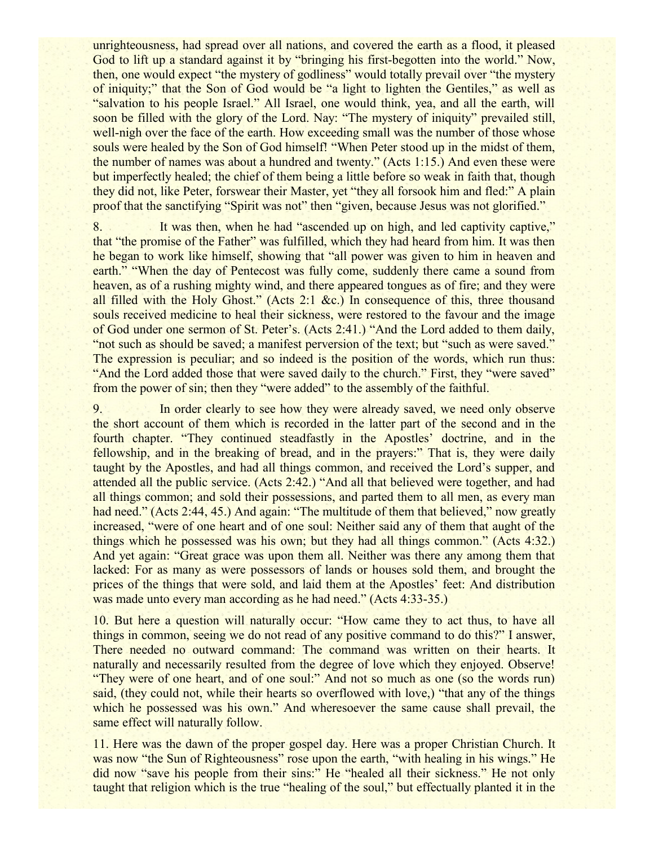unrighteousness, had spread over all nations, and covered the earth as a flood, it pleased God to lift up a standard against it by "bringing his first-begotten into the world." Now, then, one would expect "the mystery of godliness" would totally prevail over "the mystery of iniquity;" that the Son of God would be "a light to lighten the Gentiles," as well as "salvation to his people Israel." All Israel, one would think, yea, and all the earth, will soon be filled with the glory of the Lord. Nay: "The mystery of iniquity" prevailed still, well-nigh over the face of the earth. How exceeding small was the number of those whose souls were healed by the Son of God himself! "When Peter stood up in the midst of them, the number of names was about a hundred and twenty." (Acts 1:15.) And even these were but imperfectly healed; the chief of them being a little before so weak in faith that, though they did not, like Peter, forswear their Master, yet "they all forsook him and fled:" A plain proof that the sanctifying "Spirit was not" then "given, because Jesus was not glorified."

8. It was then, when he had "ascended up on high, and led captivity captive," that "the promise of the Father" was fulfilled, which they had heard from him. It was then he began to work like himself, showing that "all power was given to him in heaven and earth." "When the day of Pentecost was fully come, suddenly there came a sound from heaven, as of a rushing mighty wind, and there appeared tongues as of fire; and they were all filled with the Holy Ghost." (Acts 2:1 &c.) In consequence of this, three thousand souls received medicine to heal their sickness, were restored to the favour and the image of God under one sermon of St. Peter's. (Acts 2:41.) "And the Lord added to them daily, "not such as should be saved; a manifest perversion of the text; but "such as were saved." The expression is peculiar; and so indeed is the position of the words, which run thus: "And the Lord added those that were saved daily to the church." First, they "were saved" from the power of sin; then they "were added" to the assembly of the faithful.

9. In order clearly to see how they were already saved, we need only observe the short account of them which is recorded in the latter part of the second and in the fourth chapter. "They continued steadfastly in the Apostles' doctrine, and in the fellowship, and in the breaking of bread, and in the prayers:" That is, they were daily taught by the Apostles, and had all things common, and received the Lord's supper, and attended all the public service. (Acts 2:42.) "And all that believed were together, and had all things common; and sold their possessions, and parted them to all men, as every man had need." (Acts 2:44, 45.) And again: "The multitude of them that believed," now greatly increased, "were of one heart and of one soul: Neither said any of them that aught of the things which he possessed was his own; but they had all things common." (Acts 4:32.) And yet again: "Great grace was upon them all. Neither was there any among them that lacked: For as many as were possessors of lands or houses sold them, and brought the prices of the things that were sold, and laid them at the Apostles' feet: And distribution was made unto every man according as he had need." (Acts 4:33-35.)

10. But here a question will naturally occur: "How came they to act thus, to have all things in common, seeing we do not read of any positive command to do this?" I answer, There needed no outward command: The command was written on their hearts. It naturally and necessarily resulted from the degree of love which they enjoyed. Observe! "They were of one heart, and of one soul:" And not so much as one (so the words run) said, (they could not, while their hearts so overflowed with love,) "that any of the things which he possessed was his own." And wheresoever the same cause shall prevail, the same effect will naturally follow.

11. Here was the dawn of the proper gospel day. Here was a proper Christian Church. It was now "the Sun of Righteousness" rose upon the earth, "with healing in his wings." He did now "save his people from their sins:" He "healed all their sickness." He not only taught that religion which is the true "healing of the soul," but effectually planted it in the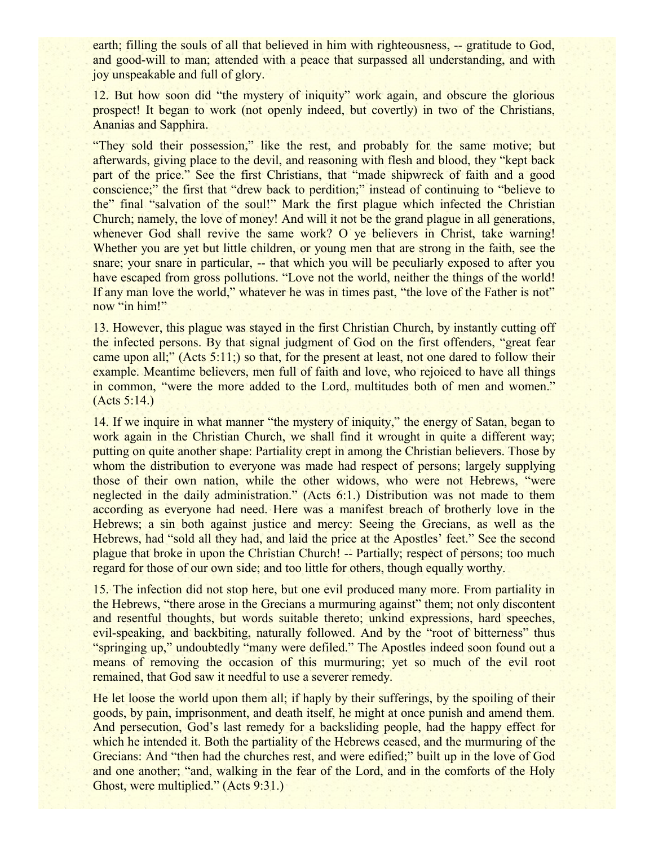earth; filling the souls of all that believed in him with righteousness, -- gratitude to God, and good-will to man; attended with a peace that surpassed all understanding, and with joy unspeakable and full of glory.

12. But how soon did "the mystery of iniquity" work again, and obscure the glorious prospect! It began to work (not openly indeed, but covertly) in two of the Christians, Ananias and Sapphira.

"They sold their possession," like the rest, and probably for the same motive; but afterwards, giving place to the devil, and reasoning with flesh and blood, they "kept back part of the price." See the first Christians, that "made shipwreck of faith and a good conscience;" the first that "drew back to perdition;" instead of continuing to "believe to the" final "salvation of the soul!" Mark the first plague which infected the Christian Church; namely, the love of money! And will it not be the grand plague in all generations, whenever God shall revive the same work? O ye believers in Christ, take warning! Whether you are yet but little children, or young men that are strong in the faith, see the snare; your snare in particular, -- that which you will be peculiarly exposed to after you have escaped from gross pollutions. "Love not the world, neither the things of the world! If any man love the world," whatever he was in times past, "the love of the Father is not" now "in him!"

13. However, this plague was stayed in the first Christian Church, by instantly cutting off the infected persons. By that signal judgment of God on the first offenders, "great fear came upon all;" (Acts 5:11;) so that, for the present at least, not one dared to follow their example. Meantime believers, men full of faith and love, who rejoiced to have all things in common, "were the more added to the Lord, multitudes both of men and women." (Acts 5:14.)

14. If we inquire in what manner "the mystery of iniquity," the energy of Satan, began to work again in the Christian Church, we shall find it wrought in quite a different way; putting on quite another shape: Partiality crept in among the Christian believers. Those by whom the distribution to everyone was made had respect of persons; largely supplying those of their own nation, while the other widows, who were not Hebrews, "were neglected in the daily administration." (Acts 6:1.) Distribution was not made to them according as everyone had need. Here was a manifest breach of brotherly love in the Hebrews; a sin both against justice and mercy: Seeing the Grecians, as well as the Hebrews, had "sold all they had, and laid the price at the Apostles' feet." See the second plague that broke in upon the Christian Church! -- Partially; respect of persons; too much regard for those of our own side; and too little for others, though equally worthy.

15. The infection did not stop here, but one evil produced many more. From partiality in the Hebrews, "there arose in the Grecians a murmuring against" them; not only discontent and resentful thoughts, but words suitable thereto; unkind expressions, hard speeches, evil-speaking, and backbiting, naturally followed. And by the "root of bitterness" thus "springing up," undoubtedly "many were defiled." The Apostles indeed soon found out a means of removing the occasion of this murmuring; yet so much of the evil root remained, that God saw it needful to use a severer remedy.

He let loose the world upon them all; if haply by their sufferings, by the spoiling of their goods, by pain, imprisonment, and death itself, he might at once punish and amend them. And persecution, God's last remedy for a backsliding people, had the happy effect for which he intended it. Both the partiality of the Hebrews ceased, and the murmuring of the Grecians: And "then had the churches rest, and were edified;" built up in the love of God and one another; "and, walking in the fear of the Lord, and in the comforts of the Holy Ghost, were multiplied." (Acts 9:31.)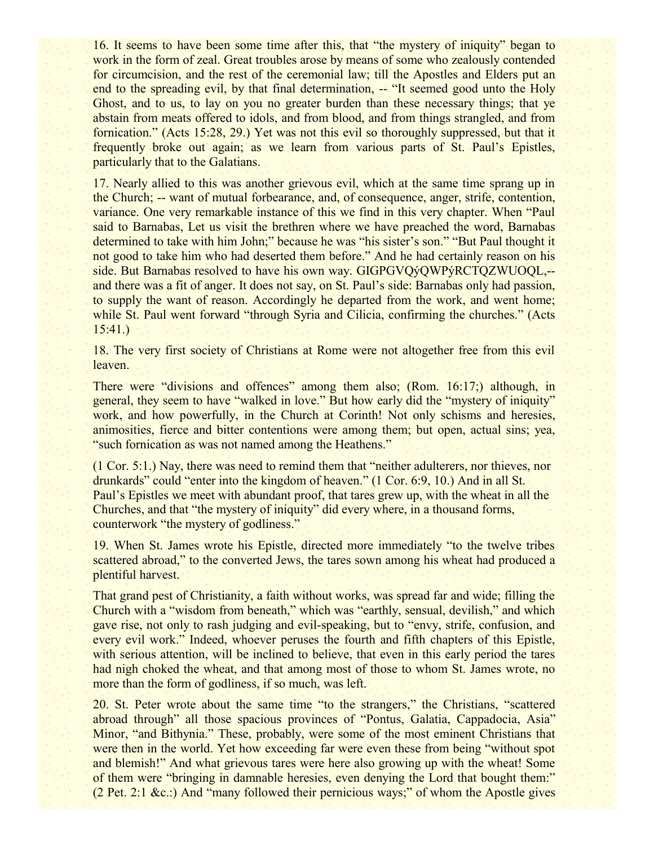16. It seems to have been some time after this, that "the mystery of iniquity" began to work in the form of zeal. Great troubles arose by means of some who zealously contended for circumcision, and the rest of the ceremonial law; till the Apostles and Elders put an end to the spreading evil, by that final determination, -- "It seemed good unto the Holy Ghost, and to us, to lay on you no greater burden than these necessary things; that ye abstain from meats offered to idols, and from blood, and from things strangled, and from fornication." (Acts 15:28, 29.) Yet was not this evil so thoroughly suppressed, but that it frequently broke out again; as we learn from various parts of St. Paul's Epistles, particularly that to the Galatians.

17. Nearly allied to this was another grievous evil, which at the same time sprang up in the Church; -- want of mutual forbearance, and, of consequence, anger, strife, contention, variance. One very remarkable instance of this we find in this very chapter. When "Paul said to Barnabas, Let us visit the brethren where we have preached the word, Barnabas determined to take with him John;" because he was "his sister's son." "But Paul thought it not good to take him who had deserted them before." And he had certainly reason on his side. But Barnabas resolved to have his own way. GIGPGVOVOWPVRCTOZWUOOL,-and there was a fit of anger. It does not say, on St. Paul's side: Barnabas only had passion, to supply the want of reason. Accordingly he departed from the work, and went home; while St. Paul went forward "through Syria and Cilicia, confirming the churches." (Acts 15:41.)

18. The very first society of Christians at Rome were not altogether free from this evil leaven.

There were "divisions and offences" among them also; (Rom. 16:17;) although, in general, they seem to have "walked in love." But how early did the "mystery of iniquity" work, and how powerfully, in the Church at Corinth! Not only schisms and heresies, animosities, fierce and bitter contentions were among them; but open, actual sins; yea, "such fornication as was not named among the Heathens."

(1 Cor. 5:1.) Nay, there was need to remind them that "neither adulterers, nor thieves, nor drunkards" could "enter into the kingdom of heaven." (1 Cor. 6:9, 10.) And in all St. Paul's Epistles we meet with abundant proof, that tares grew up, with the wheat in all the Churches, and that "the mystery of iniquity" did every where, in a thousand forms, counterwork "the mystery of godliness."

19. When St. James wrote his Epistle, directed more immediately "to the twelve tribes scattered abroad," to the converted Jews, the tares sown among his wheat had produced a plentiful harvest.

That grand pest of Christianity, a faith without works, was spread far and wide; filling the Church with a "wisdom from beneath," which was "earthly, sensual, devilish," and which gave rise, not only to rash judging and evil-speaking, but to "envy, strife, confusion, and every evil work." Indeed, whoever peruses the fourth and fifth chapters of this Epistle, with serious attention, will be inclined to believe, that even in this early period the tares had nigh choked the wheat, and that among most of those to whom St. James wrote, no more than the form of godliness, if so much, was left.

20. St. Peter wrote about the same time "to the strangers," the Christians, "scattered abroad through" all those spacious provinces of "Pontus, Galatia, Cappadocia, Asia" Minor, "and Bithynia." These, probably, were some of the most eminent Christians that were then in the world. Yet how exceeding far were even these from being "without spot and blemish!" And what grievous tares were here also growing up with the wheat! Some of them were "bringing in damnable heresies, even denying the Lord that bought them:" (2 Pet. 2:1 &c.:) And "many followed their pernicious ways;" of whom the Apostle gives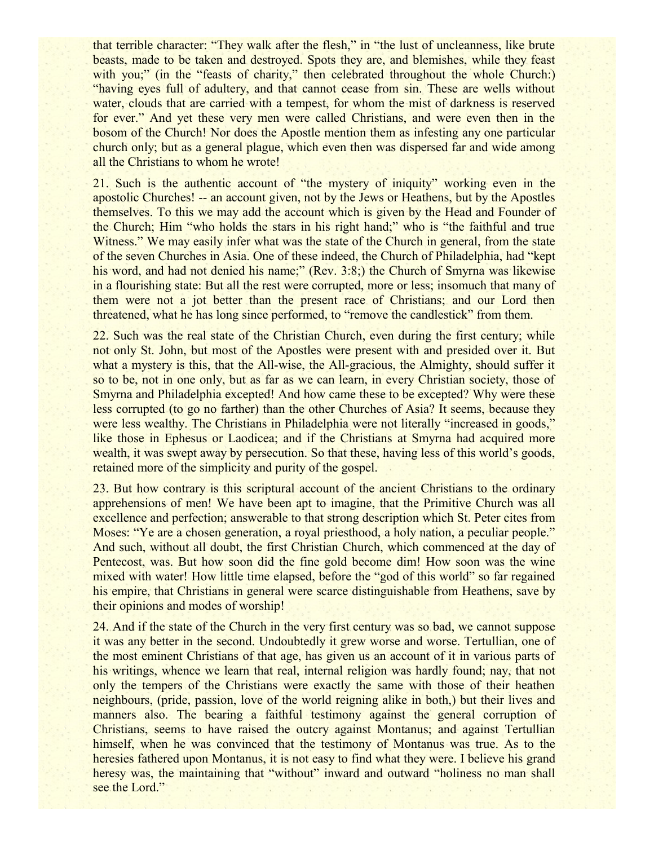that terrible character: "They walk after the flesh," in "the lust of uncleanness, like brute beasts, made to be taken and destroyed. Spots they are, and blemishes, while they feast with you;" (in the "feasts of charity," then celebrated throughout the whole Church:) "having eyes full of adultery, and that cannot cease from sin. These are wells without water, clouds that are carried with a tempest, for whom the mist of darkness is reserved for ever." And yet these very men were called Christians, and were even then in the bosom of the Church! Nor does the Apostle mention them as infesting any one particular church only; but as a general plague, which even then was dispersed far and wide among all the Christians to whom he wrote!

21. Such is the authentic account of "the mystery of iniquity" working even in the apostolic Churches! -- an account given, not by the Jews or Heathens, but by the Apostles themselves. To this we may add the account which is given by the Head and Founder of the Church; Him "who holds the stars in his right hand;" who is "the faithful and true Witness." We may easily infer what was the state of the Church in general, from the state of the seven Churches in Asia. One of these indeed, the Church of Philadelphia, had "kept his word, and had not denied his name;" (Rev. 3:8;) the Church of Smyrna was likewise in a flourishing state: But all the rest were corrupted, more or less; insomuch that many of them were not a jot better than the present race of Christians; and our Lord then threatened, what he has long since performed, to "remove the candlestick" from them.

22. Such was the real state of the Christian Church, even during the first century; while not only St. John, but most of the Apostles were present with and presided over it. But what a mystery is this, that the All-wise, the All-gracious, the Almighty, should suffer it so to be, not in one only, but as far as we can learn, in every Christian society, those of Smyrna and Philadelphia excepted! And how came these to be excepted? Why were these less corrupted (to go no farther) than the other Churches of Asia? It seems, because they were less wealthy. The Christians in Philadelphia were not literally "increased in goods," like those in Ephesus or Laodicea; and if the Christians at Smyrna had acquired more wealth, it was swept away by persecution. So that these, having less of this world's goods, retained more of the simplicity and purity of the gospel.

23. But how contrary is this scriptural account of the ancient Christians to the ordinary apprehensions of men! We have been apt to imagine, that the Primitive Church was all excellence and perfection; answerable to that strong description which St. Peter cites from Moses: "Ye are a chosen generation, a royal priesthood, a holy nation, a peculiar people." And such, without all doubt, the first Christian Church, which commenced at the day of Pentecost, was. But how soon did the fine gold become dim! How soon was the wine mixed with water! How little time elapsed, before the "god of this world" so far regained his empire, that Christians in general were scarce distinguishable from Heathens, save by their opinions and modes of worship!

24. And if the state of the Church in the very first century was so bad, we cannot suppose it was any better in the second. Undoubtedly it grew worse and worse. Tertullian, one of the most eminent Christians of that age, has given us an account of it in various parts of his writings, whence we learn that real, internal religion was hardly found; nay, that not only the tempers of the Christians were exactly the same with those of their heathen neighbours, (pride, passion, love of the world reigning alike in both,) but their lives and manners also. The bearing a faithful testimony against the general corruption of Christians, seems to have raised the outcry against Montanus; and against Tertullian himself, when he was convinced that the testimony of Montanus was true. As to the heresies fathered upon Montanus, it is not easy to find what they were. I believe his grand heresy was, the maintaining that "without" inward and outward "holiness no man shall see the Lord."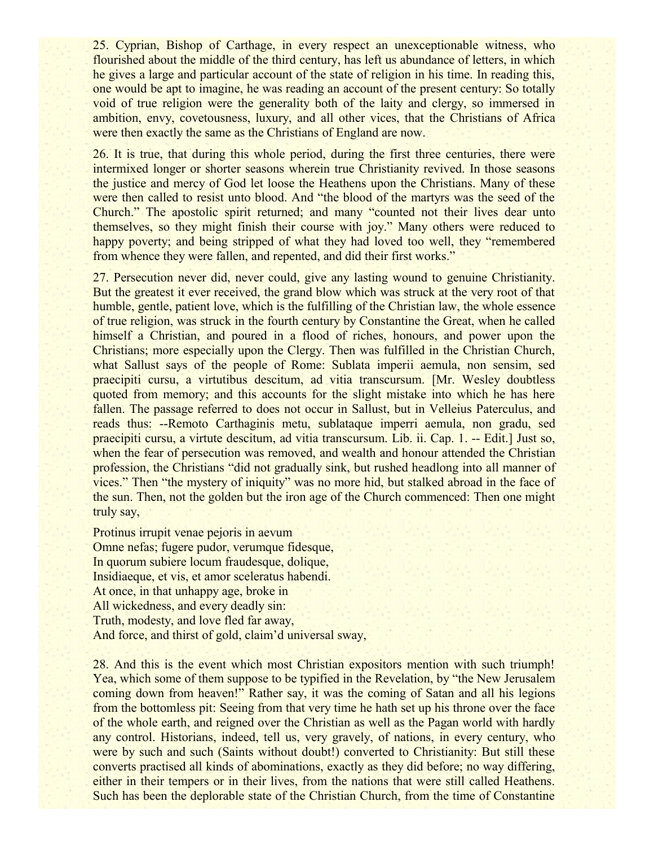25. Cyprian, Bishop of Carthage, in every respect an unexceptionable witness, who flourished about the middle of the third century, has left us abundance of letters, in which he gives a large and particular account of the state of religion in his time. In reading this, one would be apt to imagine, he was reading an account of the present century: So totally void of true religion were the generality both of the laity and clergy, so immersed in ambition, envy, covetousness, luxury, and all other vices, that the Christians of Africa were then exactly the same as the Christians of England are now.

26. It is true, that during this whole period, during the first three centuries, there were intermixed longer or shorter seasons wherein true Christianity revived. In those seasons the justice and mercy of God let loose the Heathens upon the Christians. Many of these were then called to resist unto blood. And "the blood of the martyrs was the seed of the Church." The apostolic spirit returned; and many "counted not their lives dear unto themselves, so they might finish their course with joy." Many others were reduced to happy poverty; and being stripped of what they had loved too well, they "remembered from whence they were fallen, and repented, and did their first works."

27. Persecution never did, never could, give any lasting wound to genuine Christianity. But the greatest it ever received, the grand blow which was struck at the very root of that humble, gentle, patient love, which is the fulfilling of the Christian law, the whole essence of true religion, was struck in the fourth century by Constantine the Great, when he called himself a Christian, and poured in a flood of riches, honours, and power upon the Christians; more especially upon the Clergy. Then was fulfilled in the Christian Church, what Sallust says of the people of Rome: Sublata imperii aemula, non sensim, sed praecipiti cursu, a virtutibus descitum, ad vitia transcursum. [Mr. Wesley doubtless quoted from memory; and this accounts for the slight mistake into which he has here fallen. The passage referred to does not occur in Sallust, but in Velleius Paterculus, and reads thus: --Remoto Carthaginis metu, sublataque imperri aemula, non gradu, sed praecipiti cursu, a virtute descitum, ad vitia transcursum. Lib. ii. Cap. 1. -- Edit.] Just so, when the fear of persecution was removed, and wealth and honour attended the Christian profession, the Christians "did not gradually sink, but rushed headlong into all manner of vices." Then "the mystery of iniquity" was no more hid, but stalked abroad in the face of the sun. Then, not the golden but the iron age of the Church commenced: Then one might truly say,

Protinus irrupit venae pejoris in aevum Omne nefas; fugere pudor, verumque fidesque, In quorum subiere locum fraudesque, dolique, Insidiaeque, et vis, et amor sceleratus habendi. At once, in that unhappy age, broke in All wickedness, and every deadly sin: Truth, modesty, and love fled far away, And force, and thirst of gold, claim'd universal sway,

28. And this is the event which most Christian expositors mention with such triumph! Yea, which some of them suppose to be typified in the Revelation, by "the New Jerusalem coming down from heaven!" Rather say, it was the coming of Satan and all his legions from the bottomless pit: Seeing from that very time he hath set up his throne over the face of the whole earth, and reigned over the Christian as well as the Pagan world with hardly any control. Historians, indeed, tell us, very gravely, of nations, in every century, who were by such and such (Saints without doubt!) converted to Christianity: But still these converts practised all kinds of abominations, exactly as they did before; no way differing, either in their tempers or in their lives, from the nations that were still called Heathens. Such has been the deplorable state of the Christian Church, from the time of Constantine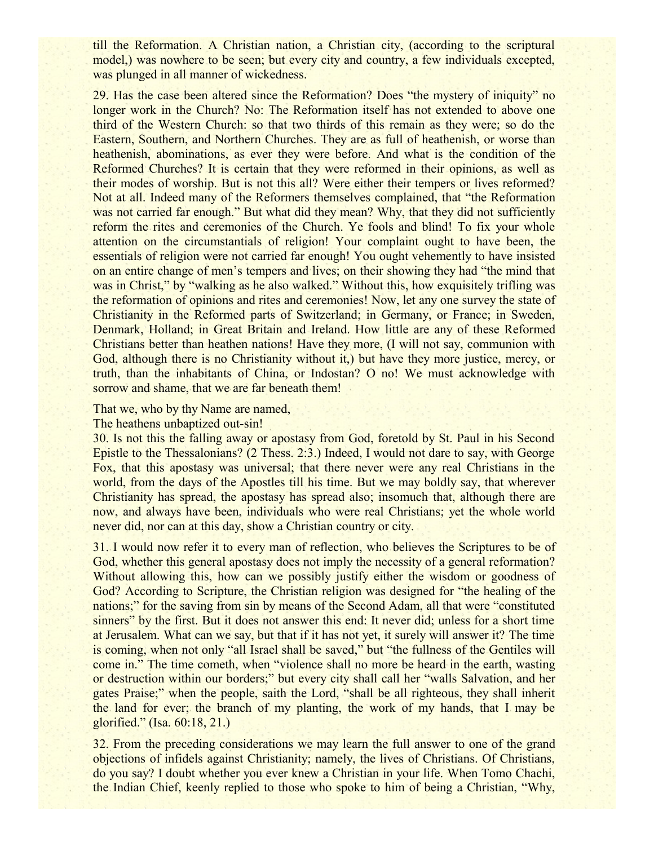till the Reformation. A Christian nation, a Christian city, (according to the scriptural model,) was nowhere to be seen; but every city and country, a few individuals excepted, was plunged in all manner of wickedness.

29. Has the case been altered since the Reformation? Does "the mystery of iniquity" no longer work in the Church? No: The Reformation itself has not extended to above one third of the Western Church: so that two thirds of this remain as they were; so do the Eastern, Southern, and Northern Churches. They are as full of heathenish, or worse than heathenish, abominations, as ever they were before. And what is the condition of the Reformed Churches? It is certain that they were reformed in their opinions, as well as their modes of worship. But is not this all? Were either their tempers or lives reformed? Not at all. Indeed many of the Reformers themselves complained, that "the Reformation was not carried far enough." But what did they mean? Why, that they did not sufficiently reform the rites and ceremonies of the Church. Ye fools and blind! To fix your whole attention on the circumstantials of religion! Your complaint ought to have been, the essentials of religion were not carried far enough! You ought vehemently to have insisted on an entire change of men's tempers and lives; on their showing they had "the mind that was in Christ," by "walking as he also walked." Without this, how exquisitely trifling was the reformation of opinions and rites and ceremonies! Now, let any one survey the state of Christianity in the Reformed parts of Switzerland; in Germany, or France; in Sweden, Denmark, Holland; in Great Britain and Ireland. How little are any of these Reformed Christians better than heathen nations! Have they more, (I will not say, communion with God, although there is no Christianity without it,) but have they more justice, mercy, or truth, than the inhabitants of China, or Indostan? O no! We must acknowledge with sorrow and shame, that we are far beneath them!

That we, who by thy Name are named,

The heathens unbaptized out-sin!

30. Is not this the falling away or apostasy from God, foretold by St. Paul in his Second Epistle to the Thessalonians? (2 Thess. 2:3.) Indeed, I would not dare to say, with George Fox, that this apostasy was universal; that there never were any real Christians in the world, from the days of the Apostles till his time. But we may boldly say, that wherever Christianity has spread, the apostasy has spread also; insomuch that, although there are now, and always have been, individuals who were real Christians; yet the whole world never did, nor can at this day, show a Christian country or city.

31. I would now refer it to every man of reflection, who believes the Scriptures to be of God, whether this general apostasy does not imply the necessity of a general reformation? Without allowing this, how can we possibly justify either the wisdom or goodness of God? According to Scripture, the Christian religion was designed for "the healing of the nations;" for the saving from sin by means of the Second Adam, all that were "constituted sinners" by the first. But it does not answer this end: It never did; unless for a short time at Jerusalem. What can we say, but that if it has not yet, it surely will answer it? The time is coming, when not only "all Israel shall be saved," but "the fullness of the Gentiles will come in." The time cometh, when "violence shall no more be heard in the earth, wasting or destruction within our borders;" but every city shall call her "walls Salvation, and her gates Praise;" when the people, saith the Lord, "shall be all righteous, they shall inherit the land for ever; the branch of my planting, the work of my hands, that I may be glorified." (Isa. 60:18, 21.)

32. From the preceding considerations we may learn the full answer to one of the grand objections of infidels against Christianity; namely, the lives of Christians. Of Christians, do you say? I doubt whether you ever knew a Christian in your life. When Tomo Chachi, the Indian Chief, keenly replied to those who spoke to him of being a Christian, "Why,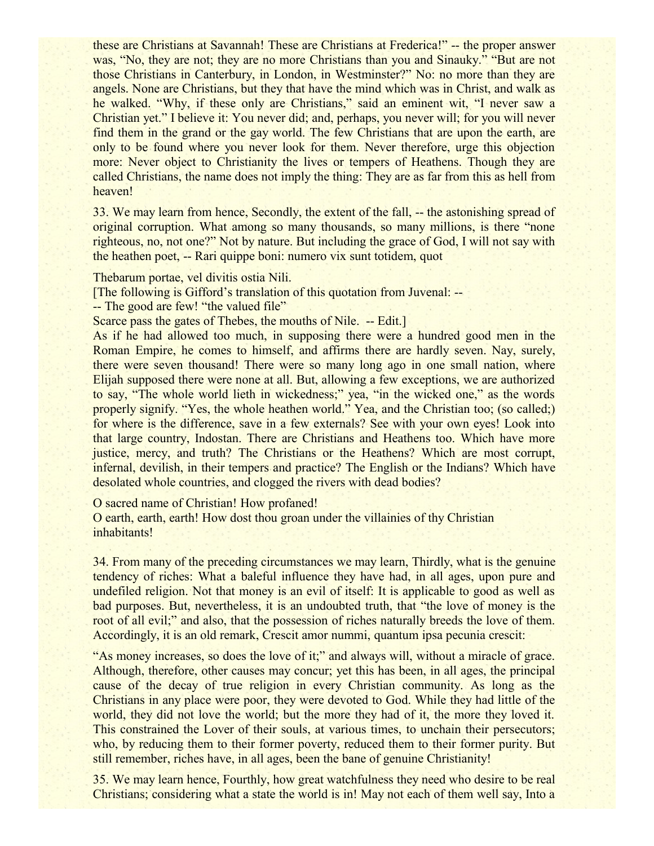these are Christians at Savannah! These are Christians at Frederica!" -- the proper answer was, "No, they are not; they are no more Christians than you and Sinauky." "But are not those Christians in Canterbury, in London, in Westminster?" No: no more than they are angels. None are Christians, but they that have the mind which was in Christ, and walk as he walked. "Why, if these only are Christians," said an eminent wit, "I never saw a Christian yet." I believe it: You never did; and, perhaps, you never will; for you will never find them in the grand or the gay world. The few Christians that are upon the earth, are only to be found where you never look for them. Never therefore, urge this objection more: Never object to Christianity the lives or tempers of Heathens. Though they are called Christians, the name does not imply the thing: They are as far from this as hell from heaven!

33. We may learn from hence, Secondly, the extent of the fall, -- the astonishing spread of original corruption. What among so many thousands, so many millions, is there "none righteous, no, not one?" Not by nature. But including the grace of God, I will not say with the heathen poet, -- Rari quippe boni: numero vix sunt totidem, quot

Thebarum portae, vel divitis ostia Nili.

[The following is Gifford's translation of this quotation from Juvenal: --

-- The good are few! "the valued file"

Scarce pass the gates of Thebes, the mouths of Nile. -- Edit.

As if he had allowed too much, in supposing there were a hundred good men in the Roman Empire, he comes to himself, and affirms there are hardly seven. Nay, surely, there were seven thousand! There were so many long ago in one small nation, where Elijah supposed there were none at all. But, allowing a few exceptions, we are authorized to say, "The whole world lieth in wickedness;" yea, "in the wicked one," as the words properly signify. "Yes, the whole heathen world." Yea, and the Christian too; (so called;) for where is the difference, save in a few externals? See with your own eyes! Look into that large country, Indostan. There are Christians and Heathens too. Which have more justice, mercy, and truth? The Christians or the Heathens? Which are most corrupt, infernal, devilish, in their tempers and practice? The English or the Indians? Which have desolated whole countries, and clogged the rivers with dead bodies?

O sacred name of Christian! How profaned!

O earth, earth, earth! How dost thou groan under the villainies of thy Christian inhabitants!

34. From many of the preceding circumstances we may learn, Thirdly, what is the genuine tendency of riches: What a baleful influence they have had, in all ages, upon pure and undefiled religion. Not that money is an evil of itself: It is applicable to good as well as bad purposes. But, nevertheless, it is an undoubted truth, that "the love of money is the root of all evil;" and also, that the possession of riches naturally breeds the love of them. Accordingly, it is an old remark, Crescit amor nummi, quantum ipsa pecunia crescit:

"As money increases, so does the love of it;" and always will, without a miracle of grace. Although, therefore, other causes may concur; yet this has been, in all ages, the principal cause of the decay of true religion in every Christian community. As long as the Christians in any place were poor, they were devoted to God. While they had little of the world, they did not love the world; but the more they had of it, the more they loved it. This constrained the Lover of their souls, at various times, to unchain their persecutors; who, by reducing them to their former poverty, reduced them to their former purity. But still remember, riches have, in all ages, been the bane of genuine Christianity!

35. We may learn hence, Fourthly, how great watchfulness they need who desire to be real Christians; considering what a state the world is in! May not each of them well say, Into a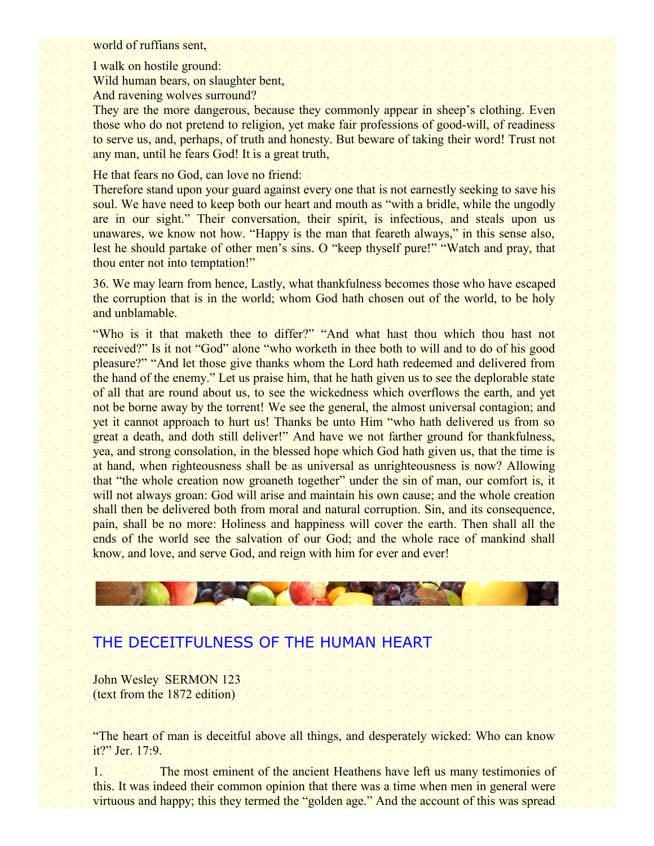world of ruffians sent,

I walk on hostile ground:

Wild human bears, on slaughter bent,

And ravening wolves surround?

They are the more dangerous, because they commonly appear in sheep's clothing. Even those who do not pretend to religion, yet make fair professions of good-will, of readiness to serve us, and, perhaps, of truth and honesty. But beware of taking their word! Trust not any man, until he fears God! It is a great truth,

#### He that fears no God, can love no friend:

Therefore stand upon your guard against every one that is not earnestly seeking to save his soul. We have need to keep both our heart and mouth as "with a bridle, while the ungodly are in our sight." Their conversation, their spirit, is infectious, and steals upon us unawares, we know not how. "Happy is the man that feareth always," in this sense also, lest he should partake of other men's sins. O "keep thyself pure!" "Watch and pray, that thou enter not into temptation!"

36. We may learn from hence, Lastly, what thankfulness becomes those who have escaped the corruption that is in the world; whom God hath chosen out of the world, to be holy and unblamable.

"Who is it that maketh thee to differ?" "And what hast thou which thou hast not received?" Is it not "God" alone "who worketh in thee both to will and to do of his good pleasure?" "And let those give thanks whom the Lord hath redeemed and delivered from the hand of the enemy." Let us praise him, that he hath given us to see the deplorable state of all that are round about us, to see the wickedness which overflows the earth, and yet not be borne away by the torrent! We see the general, the almost universal contagion; and yet it cannot approach to hurt us! Thanks be unto Him "who hath delivered us from so great a death, and doth still deliver!" And have we not farther ground for thankfulness, yea, and strong consolation, in the blessed hope which God hath given us, that the time is at hand, when righteousness shall be as universal as unrighteousness is now? Allowing that "the whole creation now groaneth together" under the sin of man, our comfort is, it will not always groan: God will arise and maintain his own cause; and the whole creation shall then be delivered both from moral and natural corruption. Sin, and its consequence, pain, shall be no more: Holiness and happiness will cover the earth. Then shall all the ends of the world see the salvation of our God; and the whole race of mankind shall know, and love, and serve God, and reign with him for ever and ever!

## THE DECEITFULNESS OF THE HUMAN HEART

John Wesley SERMON 123 (text from the 1872 edition)

"The heart of man is deceitful above all things, and desperately wicked: Who can know it?" Jer. 17:9.

1. The most eminent of the ancient Heathens have left us many testimonies of this. It was indeed their common opinion that there was a time when men in general were virtuous and happy; this they termed the "golden age." And the account of this was spread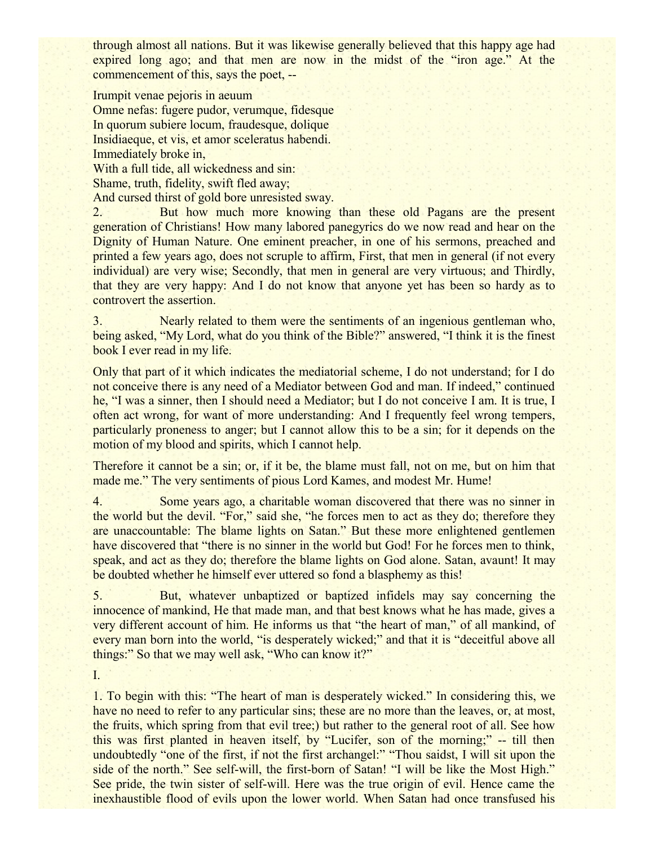through almost all nations. But it was likewise generally believed that this happy age had expired long ago; and that men are now in the midst of the "iron age." At the commencement of this, says the poet, --

Irumpit venae pejoris in aeuum

Omne nefas: fugere pudor, verumque, fidesque In quorum subiere locum, fraudesque, dolique Insidiaeque, et vis, et amor sceleratus habendi. Immediately broke in,

With a full tide, all wickedness and sin:

Shame, truth, fidelity, swift fled away;

And cursed thirst of gold bore unresisted sway.

2. But how much more knowing than these old Pagans are the present generation of Christians! How many labored panegyrics do we now read and hear on the Dignity of Human Nature. One eminent preacher, in one of his sermons, preached and printed a few years ago, does not scruple to affirm, First, that men in general (if not every individual) are very wise; Secondly, that men in general are very virtuous; and Thirdly, that they are very happy: And I do not know that anyone yet has been so hardy as to controvert the assertion.

3. Nearly related to them were the sentiments of an ingenious gentleman who, being asked, "My Lord, what do you think of the Bible?" answered, "I think it is the finest book I ever read in my life.

Only that part of it which indicates the mediatorial scheme, I do not understand; for I do not conceive there is any need of a Mediator between God and man. If indeed," continued he, "I was a sinner, then I should need a Mediator; but I do not conceive I am. It is true, I often act wrong, for want of more understanding: And I frequently feel wrong tempers, particularly proneness to anger; but I cannot allow this to be a sin; for it depends on the motion of my blood and spirits, which I cannot help.

Therefore it cannot be a sin; or, if it be, the blame must fall, not on me, but on him that made me." The very sentiments of pious Lord Kames, and modest Mr. Hume!

4. Some years ago, a charitable woman discovered that there was no sinner in the world but the devil. "For," said she, "he forces men to act as they do; therefore they are unaccountable: The blame lights on Satan." But these more enlightened gentlemen have discovered that "there is no sinner in the world but God! For he forces men to think, speak, and act as they do; therefore the blame lights on God alone. Satan, avaunt! It may be doubted whether he himself ever uttered so fond a blasphemy as this!

5. But, whatever unbaptized or baptized infidels may say concerning the innocence of mankind, He that made man, and that best knows what he has made, gives a very different account of him. He informs us that "the heart of man," of all mankind, of every man born into the world, "is desperately wicked;" and that it is "deceitful above all things:" So that we may well ask, "Who can know it?"

I.

1. To begin with this: "The heart of man is desperately wicked." In considering this, we have no need to refer to any particular sins; these are no more than the leaves, or, at most, the fruits, which spring from that evil tree;) but rather to the general root of all. See how this was first planted in heaven itself, by "Lucifer, son of the morning;" -- till then undoubtedly "one of the first, if not the first archangel:" "Thou saidst, I will sit upon the side of the north." See self-will, the first-born of Satan! "I will be like the Most High." See pride, the twin sister of self-will. Here was the true origin of evil. Hence came the inexhaustible flood of evils upon the lower world. When Satan had once transfused his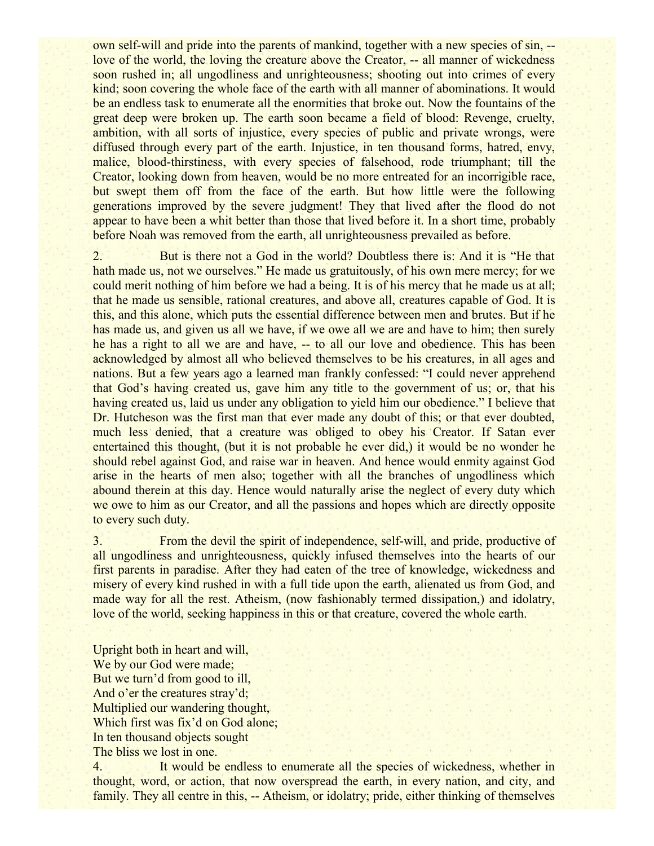own self-will and pride into the parents of mankind, together with a new species of sin, - love of the world, the loving the creature above the Creator, -- all manner of wickedness soon rushed in; all ungodliness and unrighteousness; shooting out into crimes of every kind; soon covering the whole face of the earth with all manner of abominations. It would be an endless task to enumerate all the enormities that broke out. Now the fountains of the great deep were broken up. The earth soon became a field of blood: Revenge, cruelty, ambition, with all sorts of injustice, every species of public and private wrongs, were diffused through every part of the earth. Injustice, in ten thousand forms, hatred, envy, malice, blood-thirstiness, with every species of falsehood, rode triumphant; till the Creator, looking down from heaven, would be no more entreated for an incorrigible race, but swept them off from the face of the earth. But how little were the following generations improved by the severe judgment! They that lived after the flood do not appear to have been a whit better than those that lived before it. In a short time, probably before Noah was removed from the earth, all unrighteousness prevailed as before.

2. But is there not a God in the world? Doubtless there is: And it is "He that hath made us, not we ourselves." He made us gratuitously, of his own mere mercy; for we could merit nothing of him before we had a being. It is of his mercy that he made us at all; that he made us sensible, rational creatures, and above all, creatures capable of God. It is this, and this alone, which puts the essential difference between men and brutes. But if he has made us, and given us all we have, if we owe all we are and have to him; then surely he has a right to all we are and have, -- to all our love and obedience. This has been acknowledged by almost all who believed themselves to be his creatures, in all ages and nations. But a few years ago a learned man frankly confessed: "I could never apprehend that God's having created us, gave him any title to the government of us; or, that his having created us, laid us under any obligation to yield him our obedience." I believe that Dr. Hutcheson was the first man that ever made any doubt of this; or that ever doubted, much less denied, that a creature was obliged to obey his Creator. If Satan ever entertained this thought, (but it is not probable he ever did,) it would be no wonder he should rebel against God, and raise war in heaven. And hence would enmity against God arise in the hearts of men also; together with all the branches of ungodliness which abound therein at this day. Hence would naturally arise the neglect of every duty which we owe to him as our Creator, and all the passions and hopes which are directly opposite to every such duty.

3. From the devil the spirit of independence, self-will, and pride, productive of all ungodliness and unrighteousness, quickly infused themselves into the hearts of our first parents in paradise. After they had eaten of the tree of knowledge, wickedness and misery of every kind rushed in with a full tide upon the earth, alienated us from God, and made way for all the rest. Atheism, (now fashionably termed dissipation,) and idolatry, love of the world, seeking happiness in this or that creature, covered the whole earth.

Upright both in heart and will, We by our God were made; But we turn'd from good to ill, And o'er the creatures stray'd; Multiplied our wandering thought, Which first was fix'd on God alone; In ten thousand objects sought The bliss we lost in one.

4. It would be endless to enumerate all the species of wickedness, whether in thought, word, or action, that now overspread the earth, in every nation, and city, and family. They all centre in this, -- Atheism, or idolatry; pride, either thinking of themselves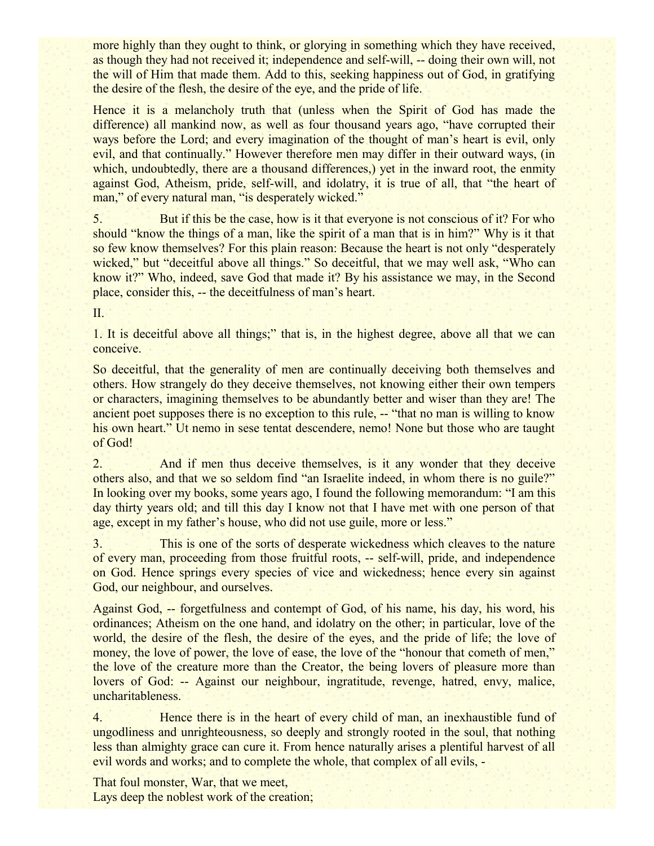more highly than they ought to think, or glorying in something which they have received, as though they had not received it; independence and self-will, -- doing their own will, not the will of Him that made them. Add to this, seeking happiness out of God, in gratifying the desire of the flesh, the desire of the eye, and the pride of life.

Hence it is a melancholy truth that (unless when the Spirit of God has made the difference) all mankind now, as well as four thousand years ago, "have corrupted their ways before the Lord; and every imagination of the thought of man's heart is evil, only evil, and that continually." However therefore men may differ in their outward ways, (in which, undoubtedly, there are a thousand differences,) yet in the inward root, the enmity against God, Atheism, pride, self-will, and idolatry, it is true of all, that "the heart of man," of every natural man, "is desperately wicked."

5. But if this be the case, how is it that everyone is not conscious of it? For who should "know the things of a man, like the spirit of a man that is in him?" Why is it that so few know themselves? For this plain reason: Because the heart is not only "desperately wicked," but "deceitful above all things." So deceitful, that we may well ask, "Who can know it?" Who, indeed, save God that made it? By his assistance we may, in the Second place, consider this, -- the deceitfulness of man's heart.

II.

1. It is deceitful above all things;" that is, in the highest degree, above all that we can conceive.

So deceitful, that the generality of men are continually deceiving both themselves and others. How strangely do they deceive themselves, not knowing either their own tempers or characters, imagining themselves to be abundantly better and wiser than they are! The ancient poet supposes there is no exception to this rule, -- "that no man is willing to know his own heart." Ut nemo in sese tentat descendere, nemo! None but those who are taught of God!

2. And if men thus deceive themselves, is it any wonder that they deceive others also, and that we so seldom find "an Israelite indeed, in whom there is no guile?" In looking over my books, some years ago, I found the following memorandum: "I am this day thirty years old; and till this day I know not that I have met with one person of that age, except in my father's house, who did not use guile, more or less."

3. This is one of the sorts of desperate wickedness which cleaves to the nature of every man, proceeding from those fruitful roots, -- self-will, pride, and independence on God. Hence springs every species of vice and wickedness; hence every sin against God, our neighbour, and ourselves.

Against God, -- forgetfulness and contempt of God, of his name, his day, his word, his ordinances; Atheism on the one hand, and idolatry on the other; in particular, love of the world, the desire of the flesh, the desire of the eyes, and the pride of life; the love of money, the love of power, the love of ease, the love of the "honour that cometh of men," the love of the creature more than the Creator, the being lovers of pleasure more than lovers of God: -- Against our neighbour, ingratitude, revenge, hatred, envy, malice, uncharitableness.

4. Hence there is in the heart of every child of man, an inexhaustible fund of ungodliness and unrighteousness, so deeply and strongly rooted in the soul, that nothing less than almighty grace can cure it. From hence naturally arises a plentiful harvest of all evil words and works; and to complete the whole, that complex of all evils, -

That foul monster, War, that we meet, Lays deep the noblest work of the creation;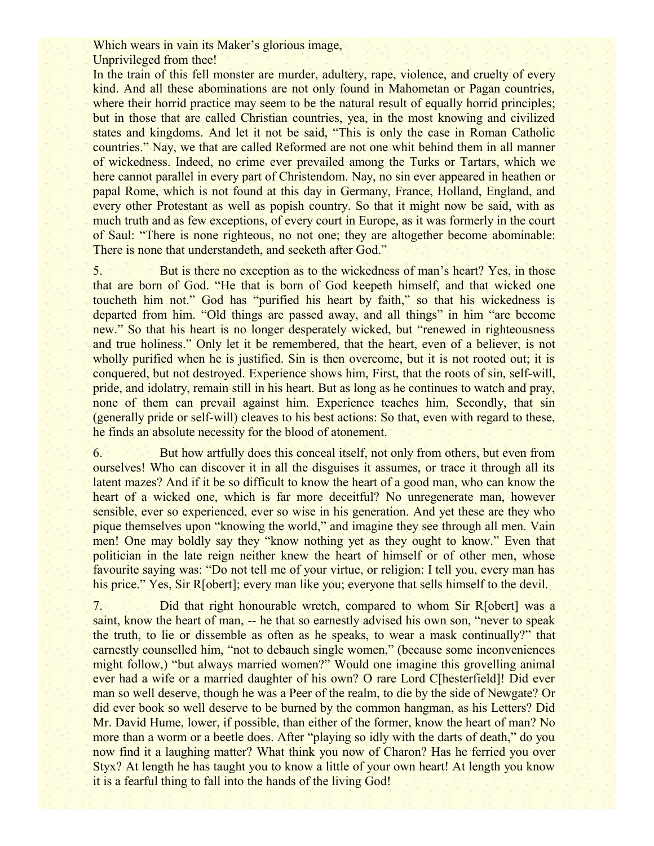Which wears in vain its Maker's glorious image,

Unprivileged from thee!

In the train of this fell monster are murder, adultery, rape, violence, and cruelty of every kind. And all these abominations are not only found in Mahometan or Pagan countries, where their horrid practice may seem to be the natural result of equally horrid principles; but in those that are called Christian countries, yea, in the most knowing and civilized states and kingdoms. And let it not be said, "This is only the case in Roman Catholic countries." Nay, we that are called Reformed are not one whit behind them in all manner of wickedness. Indeed, no crime ever prevailed among the Turks or Tartars, which we here cannot parallel in every part of Christendom. Nay, no sin ever appeared in heathen or papal Rome, which is not found at this day in Germany, France, Holland, England, and every other Protestant as well as popish country. So that it might now be said, with as much truth and as few exceptions, of every court in Europe, as it was formerly in the court of Saul: "There is none righteous, no not one; they are altogether become abominable: There is none that understandeth, and seeketh after God."

5. But is there no exception as to the wickedness of man's heart? Yes, in those that are born of God. "He that is born of God keepeth himself, and that wicked one toucheth him not." God has "purified his heart by faith," so that his wickedness is departed from him. "Old things are passed away, and all things" in him "are become new." So that his heart is no longer desperately wicked, but "renewed in righteousness" and true holiness." Only let it be remembered, that the heart, even of a believer, is not wholly purified when he is justified. Sin is then overcome, but it is not rooted out; it is conquered, but not destroyed. Experience shows him, First, that the roots of sin, self-will, pride, and idolatry, remain still in his heart. But as long as he continues to watch and pray, none of them can prevail against him. Experience teaches him, Secondly, that sin (generally pride or self-will) cleaves to his best actions: So that, even with regard to these, he finds an absolute necessity for the blood of atonement.

6. But how artfully does this conceal itself, not only from others, but even from ourselves! Who can discover it in all the disguises it assumes, or trace it through all its latent mazes? And if it be so difficult to know the heart of a good man, who can know the heart of a wicked one, which is far more deceitful? No unregenerate man, however sensible, ever so experienced, ever so wise in his generation. And yet these are they who pique themselves upon "knowing the world," and imagine they see through all men. Vain men! One may boldly say they "know nothing yet as they ought to know." Even that politician in the late reign neither knew the heart of himself or of other men, whose favourite saying was: "Do not tell me of your virtue, or religion: I tell you, every man has his price." Yes, Sir R[obert]; every man like you; everyone that sells himself to the devil.

7. Did that right honourable wretch, compared to whom Sir R[obert] was a saint, know the heart of man, -- he that so earnestly advised his own son, "never to speak the truth, to lie or dissemble as often as he speaks, to wear a mask continually?" that earnestly counselled him, "not to debauch single women," (because some inconveniences might follow,) "but always married women?" Would one imagine this grovelling animal ever had a wife or a married daughter of his own? O rare Lord C[hesterfield]! Did ever man so well deserve, though he was a Peer of the realm, to die by the side of Newgate? Or did ever book so well deserve to be burned by the common hangman, as his Letters? Did Mr. David Hume, lower, if possible, than either of the former, know the heart of man? No more than a worm or a beetle does. After "playing so idly with the darts of death," do you now find it a laughing matter? What think you now of Charon? Has he ferried you over Styx? At length he has taught you to know a little of your own heart! At length you know it is a fearful thing to fall into the hands of the living God!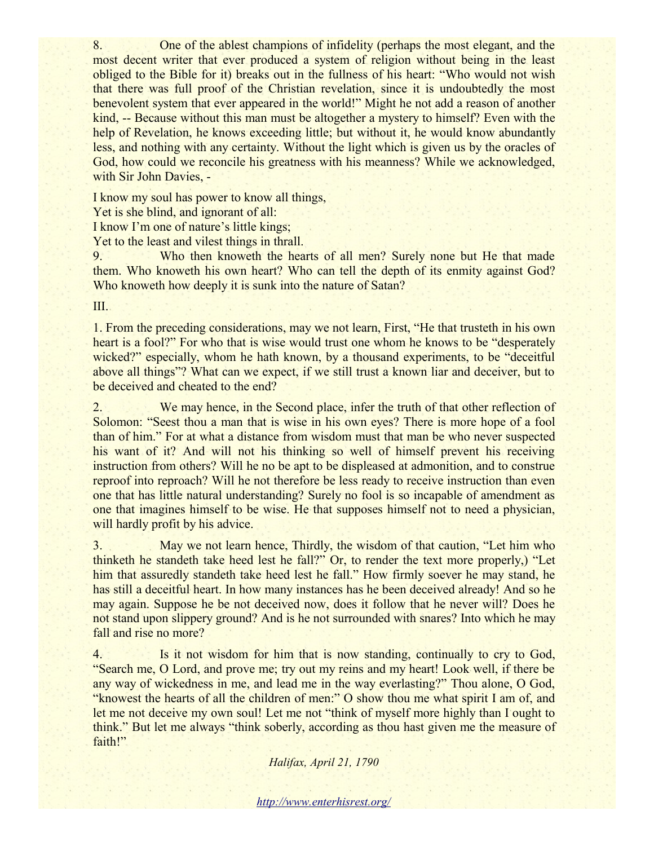8. One of the ablest champions of infidelity (perhaps the most elegant, and the most decent writer that ever produced a system of religion without being in the least obliged to the Bible for it) breaks out in the fullness of his heart: "Who would not wish that there was full proof of the Christian revelation, since it is undoubtedly the most benevolent system that ever appeared in the world!" Might he not add a reason of another kind, -- Because without this man must be altogether a mystery to himself? Even with the help of Revelation, he knows exceeding little; but without it, he would know abundantly less, and nothing with any certainty. Without the light which is given us by the oracles of God, how could we reconcile his greatness with his meanness? While we acknowledged, with Sir John Davies, -

I know my soul has power to know all things,

Yet is she blind, and ignorant of all:

I know I'm one of nature's little kings;

Yet to the least and vilest things in thrall.

9. Who then knoweth the hearts of all men? Surely none but He that made them. Who knoweth his own heart? Who can tell the depth of its enmity against God? Who knoweth how deeply it is sunk into the nature of Satan?

III.

1. From the preceding considerations, may we not learn, First, "He that trusteth in his own heart is a fool?" For who that is wise would trust one whom he knows to be "desperately" wicked?" especially, whom he hath known, by a thousand experiments, to be "deceitful" above all things"? What can we expect, if we still trust a known liar and deceiver, but to be deceived and cheated to the end?

2. We may hence, in the Second place, infer the truth of that other reflection of Solomon: "Seest thou a man that is wise in his own eyes? There is more hope of a fool than of him." For at what a distance from wisdom must that man be who never suspected his want of it? And will not his thinking so well of himself prevent his receiving instruction from others? Will he no be apt to be displeased at admonition, and to construe reproof into reproach? Will he not therefore be less ready to receive instruction than even one that has little natural understanding? Surely no fool is so incapable of amendment as one that imagines himself to be wise. He that supposes himself not to need a physician, will hardly profit by his advice.

3. May we not learn hence, Thirdly, the wisdom of that caution, "Let him who thinketh he standeth take heed lest he fall?" Or, to render the text more properly,) "Let him that assuredly standeth take heed lest he fall." How firmly soever he may stand, he has still a deceitful heart. In how many instances has he been deceived already! And so he may again. Suppose he be not deceived now, does it follow that he never will? Does he not stand upon slippery ground? And is he not surrounded with snares? Into which he may fall and rise no more?

4. Is it not wisdom for him that is now standing, continually to cry to God, "Search me, O Lord, and prove me; try out my reins and my heart! Look well, if there be any way of wickedness in me, and lead me in the way everlasting?" Thou alone, O God, "knowest the hearts of all the children of men:" O show thou me what spirit I am of, and let me not deceive my own soul! Let me not "think of myself more highly than I ought to think." But let me always "think soberly, according as thou hast given me the measure of faith!"

*Halifax, April 21, 1790*